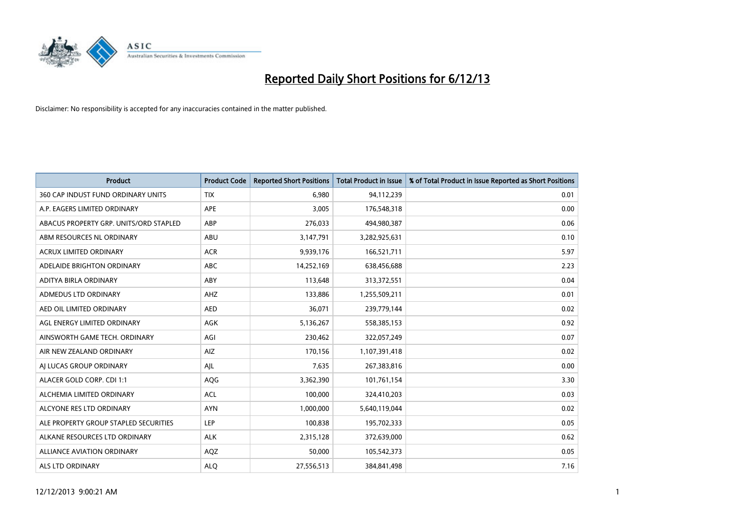

| <b>Product</b>                         | <b>Product Code</b> | <b>Reported Short Positions</b> | <b>Total Product in Issue</b> | % of Total Product in Issue Reported as Short Positions |
|----------------------------------------|---------------------|---------------------------------|-------------------------------|---------------------------------------------------------|
| 360 CAP INDUST FUND ORDINARY UNITS     | <b>TIX</b>          | 6,980                           | 94,112,239                    | 0.01                                                    |
| A.P. EAGERS LIMITED ORDINARY           | APE                 | 3,005                           | 176,548,318                   | 0.00                                                    |
| ABACUS PROPERTY GRP. UNITS/ORD STAPLED | ABP                 | 276,033                         | 494,980,387                   | 0.06                                                    |
| ABM RESOURCES NL ORDINARY              | ABU                 | 3,147,791                       | 3,282,925,631                 | 0.10                                                    |
| <b>ACRUX LIMITED ORDINARY</b>          | <b>ACR</b>          | 9,939,176                       | 166,521,711                   | 5.97                                                    |
| ADELAIDE BRIGHTON ORDINARY             | <b>ABC</b>          | 14,252,169                      | 638,456,688                   | 2.23                                                    |
| ADITYA BIRLA ORDINARY                  | ABY                 | 113,648                         | 313,372,551                   | 0.04                                                    |
| ADMEDUS LTD ORDINARY                   | AHZ                 | 133,886                         | 1,255,509,211                 | 0.01                                                    |
| AED OIL LIMITED ORDINARY               | <b>AED</b>          | 36,071                          | 239,779,144                   | 0.02                                                    |
| AGL ENERGY LIMITED ORDINARY            | <b>AGK</b>          | 5,136,267                       | 558,385,153                   | 0.92                                                    |
| AINSWORTH GAME TECH. ORDINARY          | AGI                 | 230,462                         | 322,057,249                   | 0.07                                                    |
| AIR NEW ZEALAND ORDINARY               | AIZ                 | 170,156                         | 1,107,391,418                 | 0.02                                                    |
| AI LUCAS GROUP ORDINARY                | AJL                 | 7,635                           | 267,383,816                   | 0.00                                                    |
| ALACER GOLD CORP. CDI 1:1              | AQG                 | 3,362,390                       | 101,761,154                   | 3.30                                                    |
| ALCHEMIA LIMITED ORDINARY              | <b>ACL</b>          | 100,000                         | 324,410,203                   | 0.03                                                    |
| ALCYONE RES LTD ORDINARY               | <b>AYN</b>          | 1,000,000                       | 5,640,119,044                 | 0.02                                                    |
| ALE PROPERTY GROUP STAPLED SECURITIES  | LEP                 | 100,838                         | 195,702,333                   | 0.05                                                    |
| ALKANE RESOURCES LTD ORDINARY          | <b>ALK</b>          | 2,315,128                       | 372,639,000                   | 0.62                                                    |
| <b>ALLIANCE AVIATION ORDINARY</b>      | AQZ                 | 50,000                          | 105,542,373                   | 0.05                                                    |
| ALS LTD ORDINARY                       | <b>ALO</b>          | 27,556,513                      | 384, 841, 498                 | 7.16                                                    |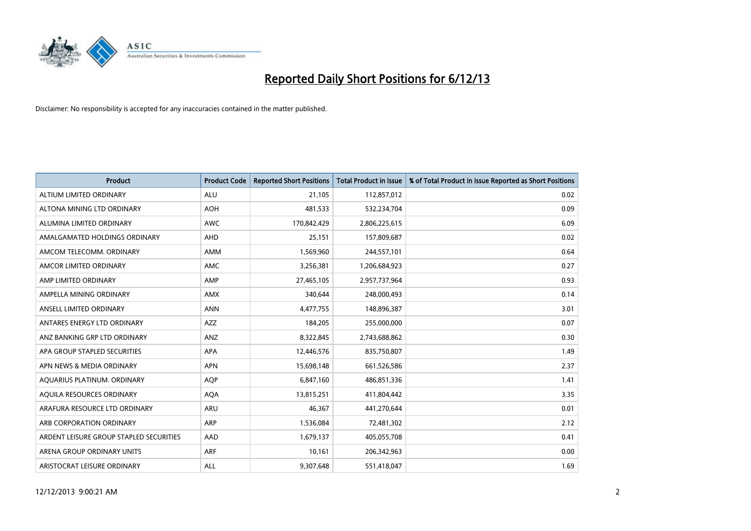

| <b>Product</b>                          | <b>Product Code</b> | <b>Reported Short Positions</b> | <b>Total Product in Issue</b> | % of Total Product in Issue Reported as Short Positions |
|-----------------------------------------|---------------------|---------------------------------|-------------------------------|---------------------------------------------------------|
| ALTIUM LIMITED ORDINARY                 | <b>ALU</b>          | 21,105                          | 112,857,012                   | 0.02                                                    |
| ALTONA MINING LTD ORDINARY              | <b>AOH</b>          | 481,533                         | 532,234,704                   | 0.09                                                    |
| ALUMINA LIMITED ORDINARY                | <b>AWC</b>          | 170,842,429                     | 2,806,225,615                 | 6.09                                                    |
| AMALGAMATED HOLDINGS ORDINARY           | AHD                 | 25,151                          | 157,809,687                   | 0.02                                                    |
| AMCOM TELECOMM, ORDINARY                | AMM                 | 1,569,960                       | 244,557,101                   | 0.64                                                    |
| AMCOR LIMITED ORDINARY                  | <b>AMC</b>          | 3,256,381                       | 1,206,684,923                 | 0.27                                                    |
| AMP LIMITED ORDINARY                    | AMP                 | 27,465,105                      | 2,957,737,964                 | 0.93                                                    |
| AMPELLA MINING ORDINARY                 | AMX                 | 340,644                         | 248,000,493                   | 0.14                                                    |
| ANSELL LIMITED ORDINARY                 | <b>ANN</b>          | 4,477,755                       | 148,896,387                   | 3.01                                                    |
| ANTARES ENERGY LTD ORDINARY             | <b>AZZ</b>          | 184,205                         | 255,000,000                   | 0.07                                                    |
| ANZ BANKING GRP LTD ORDINARY            | ANZ                 | 8,322,845                       | 2,743,688,862                 | 0.30                                                    |
| APA GROUP STAPLED SECURITIES            | APA                 | 12,446,576                      | 835,750,807                   | 1.49                                                    |
| APN NEWS & MEDIA ORDINARY               | <b>APN</b>          | 15,698,148                      | 661,526,586                   | 2.37                                                    |
| AQUARIUS PLATINUM. ORDINARY             | <b>AOP</b>          | 6,847,160                       | 486,851,336                   | 1.41                                                    |
| AQUILA RESOURCES ORDINARY               | <b>AQA</b>          | 13,815,251                      | 411,804,442                   | 3.35                                                    |
| ARAFURA RESOURCE LTD ORDINARY           | ARU                 | 46,367                          | 441,270,644                   | 0.01                                                    |
| ARB CORPORATION ORDINARY                | ARP                 | 1,536,084                       | 72,481,302                    | 2.12                                                    |
| ARDENT LEISURE GROUP STAPLED SECURITIES | AAD                 | 1,679,137                       | 405,055,708                   | 0.41                                                    |
| ARENA GROUP ORDINARY UNITS              | <b>ARF</b>          | 10,161                          | 206,342,963                   | 0.00                                                    |
| ARISTOCRAT LEISURE ORDINARY             | ALL                 | 9,307,648                       | 551,418,047                   | 1.69                                                    |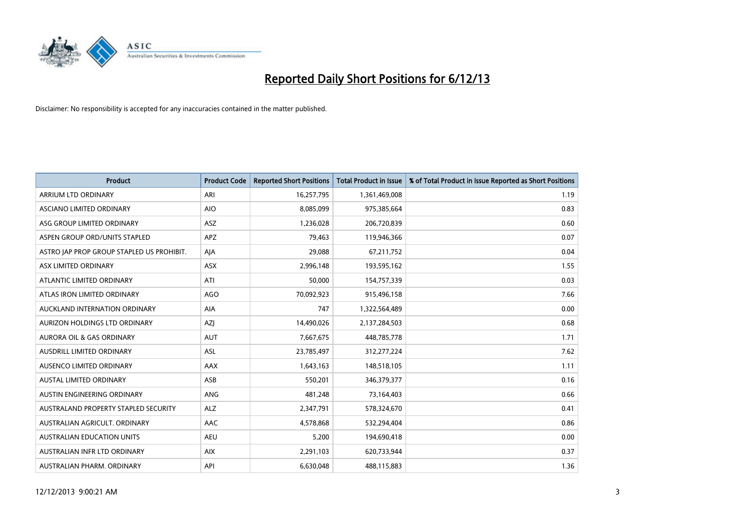

| <b>Product</b>                            | <b>Product Code</b> | <b>Reported Short Positions</b> | <b>Total Product in Issue</b> | % of Total Product in Issue Reported as Short Positions |
|-------------------------------------------|---------------------|---------------------------------|-------------------------------|---------------------------------------------------------|
| ARRIUM LTD ORDINARY                       | ARI                 | 16,257,795                      | 1,361,469,008                 | 1.19                                                    |
| ASCIANO LIMITED ORDINARY                  | <b>AIO</b>          | 8,085,099                       | 975,385,664                   | 0.83                                                    |
| ASG GROUP LIMITED ORDINARY                | <b>ASZ</b>          | 1,236,028                       | 206,720,839                   | 0.60                                                    |
| ASPEN GROUP ORD/UNITS STAPLED             | APZ                 | 79,463                          | 119,946,366                   | 0.07                                                    |
| ASTRO JAP PROP GROUP STAPLED US PROHIBIT. | AJA                 | 29,088                          | 67,211,752                    | 0.04                                                    |
| ASX LIMITED ORDINARY                      | ASX                 | 2,996,148                       | 193,595,162                   | 1.55                                                    |
| ATLANTIC LIMITED ORDINARY                 | ATI                 | 50,000                          | 154,757,339                   | 0.03                                                    |
| ATLAS IRON LIMITED ORDINARY               | <b>AGO</b>          | 70,092,923                      | 915,496,158                   | 7.66                                                    |
| AUCKLAND INTERNATION ORDINARY             | AIA                 | 747                             | 1,322,564,489                 | 0.00                                                    |
| AURIZON HOLDINGS LTD ORDINARY             | AZI                 | 14,490,026                      | 2,137,284,503                 | 0.68                                                    |
| AURORA OIL & GAS ORDINARY                 | <b>AUT</b>          | 7,667,675                       | 448,785,778                   | 1.71                                                    |
| <b>AUSDRILL LIMITED ORDINARY</b>          | ASL                 | 23,785,497                      | 312,277,224                   | 7.62                                                    |
| AUSENCO LIMITED ORDINARY                  | AAX                 | 1,643,163                       | 148,518,105                   | 1.11                                                    |
| <b>AUSTAL LIMITED ORDINARY</b>            | ASB                 | 550,201                         | 346, 379, 377                 | 0.16                                                    |
| AUSTIN ENGINEERING ORDINARY               | ANG                 | 481,248                         | 73,164,403                    | 0.66                                                    |
| AUSTRALAND PROPERTY STAPLED SECURITY      | <b>ALZ</b>          | 2,347,791                       | 578,324,670                   | 0.41                                                    |
| AUSTRALIAN AGRICULT. ORDINARY             | AAC                 | 4,578,868                       | 532,294,404                   | 0.86                                                    |
| AUSTRALIAN EDUCATION UNITS                | <b>AEU</b>          | 5,200                           | 194,690,418                   | 0.00                                                    |
| AUSTRALIAN INFR LTD ORDINARY              | <b>AIX</b>          | 2,291,103                       | 620,733,944                   | 0.37                                                    |
| AUSTRALIAN PHARM. ORDINARY                | API                 | 6,630,048                       | 488,115,883                   | 1.36                                                    |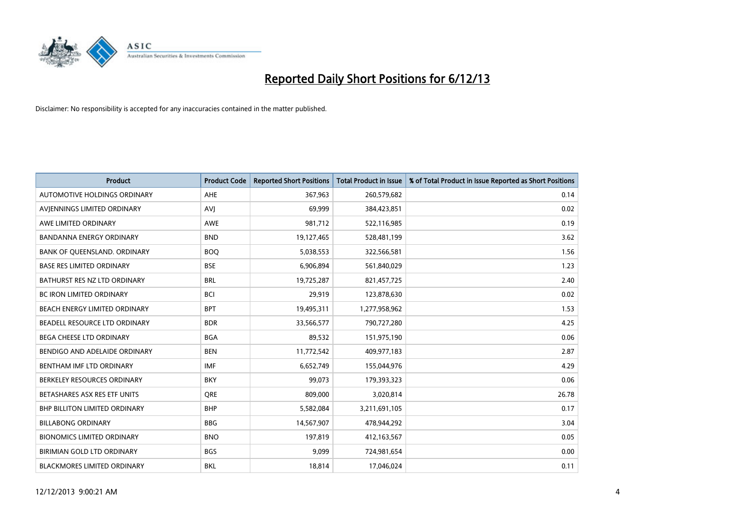

| <b>Product</b>                       | <b>Product Code</b> | <b>Reported Short Positions</b> | <b>Total Product in Issue</b> | % of Total Product in Issue Reported as Short Positions |
|--------------------------------------|---------------------|---------------------------------|-------------------------------|---------------------------------------------------------|
| AUTOMOTIVE HOLDINGS ORDINARY         | AHE                 | 367,963                         | 260,579,682                   | 0.14                                                    |
| AVJENNINGS LIMITED ORDINARY          | <b>AVJ</b>          | 69,999                          | 384,423,851                   | 0.02                                                    |
| AWE LIMITED ORDINARY                 | AWE                 | 981,712                         | 522,116,985                   | 0.19                                                    |
| <b>BANDANNA ENERGY ORDINARY</b>      | <b>BND</b>          | 19,127,465                      | 528,481,199                   | 3.62                                                    |
| BANK OF QUEENSLAND. ORDINARY         | <b>BOO</b>          | 5,038,553                       | 322,566,581                   | 1.56                                                    |
| <b>BASE RES LIMITED ORDINARY</b>     | <b>BSE</b>          | 6,906,894                       | 561,840,029                   | 1.23                                                    |
| BATHURST RES NZ LTD ORDINARY         | <b>BRL</b>          | 19,725,287                      | 821,457,725                   | 2.40                                                    |
| BC IRON LIMITED ORDINARY             | <b>BCI</b>          | 29,919                          | 123,878,630                   | 0.02                                                    |
| BEACH ENERGY LIMITED ORDINARY        | <b>BPT</b>          | 19,495,311                      | 1,277,958,962                 | 1.53                                                    |
| BEADELL RESOURCE LTD ORDINARY        | <b>BDR</b>          | 33,566,577                      | 790,727,280                   | 4.25                                                    |
| BEGA CHEESE LTD ORDINARY             | <b>BGA</b>          | 89,532                          | 151,975,190                   | 0.06                                                    |
| BENDIGO AND ADELAIDE ORDINARY        | <b>BEN</b>          | 11,772,542                      | 409,977,183                   | 2.87                                                    |
| BENTHAM IMF LTD ORDINARY             | <b>IMF</b>          | 6,652,749                       | 155,044,976                   | 4.29                                                    |
| BERKELEY RESOURCES ORDINARY          | <b>BKY</b>          | 99,073                          | 179,393,323                   | 0.06                                                    |
| BETASHARES ASX RES ETF UNITS         | <b>ORE</b>          | 809,000                         | 3,020,814                     | 26.78                                                   |
| <b>BHP BILLITON LIMITED ORDINARY</b> | <b>BHP</b>          | 5,582,084                       | 3,211,691,105                 | 0.17                                                    |
| <b>BILLABONG ORDINARY</b>            | <b>BBG</b>          | 14,567,907                      | 478,944,292                   | 3.04                                                    |
| <b>BIONOMICS LIMITED ORDINARY</b>    | <b>BNO</b>          | 197,819                         | 412,163,567                   | 0.05                                                    |
| BIRIMIAN GOLD LTD ORDINARY           | <b>BGS</b>          | 9,099                           | 724,981,654                   | 0.00                                                    |
| <b>BLACKMORES LIMITED ORDINARY</b>   | <b>BKL</b>          | 18,814                          | 17,046,024                    | 0.11                                                    |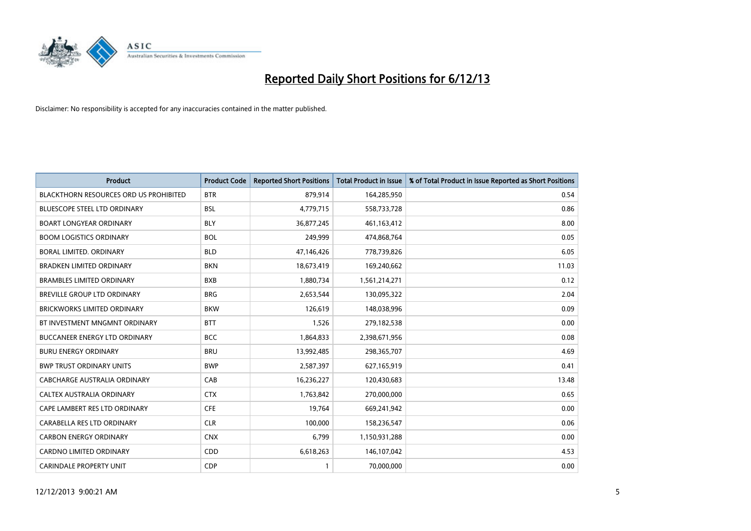

| <b>Product</b>                                | <b>Product Code</b> | <b>Reported Short Positions</b> | <b>Total Product in Issue</b> | % of Total Product in Issue Reported as Short Positions |
|-----------------------------------------------|---------------------|---------------------------------|-------------------------------|---------------------------------------------------------|
| <b>BLACKTHORN RESOURCES ORD US PROHIBITED</b> | <b>BTR</b>          | 879,914                         | 164,285,950                   | 0.54                                                    |
| BLUESCOPE STEEL LTD ORDINARY                  | <b>BSL</b>          | 4,779,715                       | 558,733,728                   | 0.86                                                    |
| <b>BOART LONGYEAR ORDINARY</b>                | <b>BLY</b>          | 36,877,245                      | 461,163,412                   | 8.00                                                    |
| <b>BOOM LOGISTICS ORDINARY</b>                | <b>BOL</b>          | 249,999                         | 474,868,764                   | 0.05                                                    |
| <b>BORAL LIMITED, ORDINARY</b>                | <b>BLD</b>          | 47,146,426                      | 778,739,826                   | 6.05                                                    |
| <b>BRADKEN LIMITED ORDINARY</b>               | <b>BKN</b>          | 18,673,419                      | 169,240,662                   | 11.03                                                   |
| <b>BRAMBLES LIMITED ORDINARY</b>              | <b>BXB</b>          | 1,880,734                       | 1,561,214,271                 | 0.12                                                    |
| <b>BREVILLE GROUP LTD ORDINARY</b>            | <b>BRG</b>          | 2,653,544                       | 130,095,322                   | 2.04                                                    |
| <b>BRICKWORKS LIMITED ORDINARY</b>            | <b>BKW</b>          | 126,619                         | 148,038,996                   | 0.09                                                    |
| BT INVESTMENT MNGMNT ORDINARY                 | <b>BTT</b>          | 1,526                           | 279,182,538                   | 0.00                                                    |
| <b>BUCCANEER ENERGY LTD ORDINARY</b>          | <b>BCC</b>          | 1,864,833                       | 2,398,671,956                 | 0.08                                                    |
| <b>BURU ENERGY ORDINARY</b>                   | <b>BRU</b>          | 13,992,485                      | 298,365,707                   | 4.69                                                    |
| <b>BWP TRUST ORDINARY UNITS</b>               | <b>BWP</b>          | 2,587,397                       | 627,165,919                   | 0.41                                                    |
| <b>CABCHARGE AUSTRALIA ORDINARY</b>           | CAB                 | 16,236,227                      | 120,430,683                   | 13.48                                                   |
| CALTEX AUSTRALIA ORDINARY                     | <b>CTX</b>          | 1,763,842                       | 270,000,000                   | 0.65                                                    |
| CAPE LAMBERT RES LTD ORDINARY                 | <b>CFE</b>          | 19,764                          | 669,241,942                   | 0.00                                                    |
| CARABELLA RES LTD ORDINARY                    | <b>CLR</b>          | 100,000                         | 158,236,547                   | 0.06                                                    |
| <b>CARBON ENERGY ORDINARY</b>                 | <b>CNX</b>          | 6,799                           | 1,150,931,288                 | 0.00                                                    |
| <b>CARDNO LIMITED ORDINARY</b>                | CDD                 | 6,618,263                       | 146, 107, 042                 | 4.53                                                    |
| <b>CARINDALE PROPERTY UNIT</b>                | <b>CDP</b>          |                                 | 70,000,000                    | 0.00                                                    |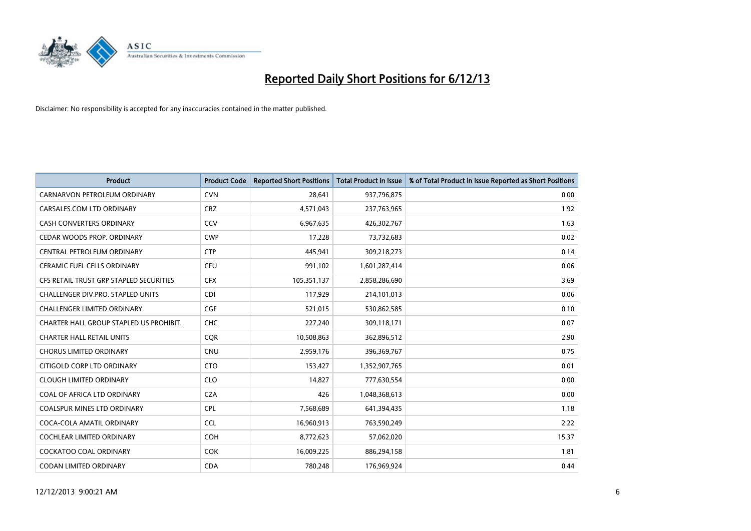

| <b>Product</b>                          | <b>Product Code</b> | <b>Reported Short Positions</b> | <b>Total Product in Issue</b> | % of Total Product in Issue Reported as Short Positions |
|-----------------------------------------|---------------------|---------------------------------|-------------------------------|---------------------------------------------------------|
| CARNARVON PETROLEUM ORDINARY            | <b>CVN</b>          | 28,641                          | 937,796,875                   | 0.00                                                    |
| CARSALES.COM LTD ORDINARY               | <b>CRZ</b>          | 4,571,043                       | 237,763,965                   | 1.92                                                    |
| <b>CASH CONVERTERS ORDINARY</b>         | CCV                 | 6,967,635                       | 426,302,767                   | 1.63                                                    |
| CEDAR WOODS PROP. ORDINARY              | <b>CWP</b>          | 17,228                          | 73,732,683                    | 0.02                                                    |
| CENTRAL PETROLEUM ORDINARY              | <b>CTP</b>          | 445,941                         | 309,218,273                   | 0.14                                                    |
| <b>CERAMIC FUEL CELLS ORDINARY</b>      | <b>CFU</b>          | 991,102                         | 1,601,287,414                 | 0.06                                                    |
| CFS RETAIL TRUST GRP STAPLED SECURITIES | <b>CFX</b>          | 105,351,137                     | 2,858,286,690                 | 3.69                                                    |
| CHALLENGER DIV.PRO. STAPLED UNITS       | <b>CDI</b>          | 117,929                         | 214,101,013                   | 0.06                                                    |
| <b>CHALLENGER LIMITED ORDINARY</b>      | <b>CGF</b>          | 521,015                         | 530,862,585                   | 0.10                                                    |
| CHARTER HALL GROUP STAPLED US PROHIBIT. | <b>CHC</b>          | 227,240                         | 309,118,171                   | 0.07                                                    |
| <b>CHARTER HALL RETAIL UNITS</b>        | <b>CQR</b>          | 10,508,863                      | 362,896,512                   | 2.90                                                    |
| <b>CHORUS LIMITED ORDINARY</b>          | <b>CNU</b>          | 2,959,176                       | 396,369,767                   | 0.75                                                    |
| CITIGOLD CORP LTD ORDINARY              | <b>CTO</b>          | 153,427                         | 1,352,907,765                 | 0.01                                                    |
| <b>CLOUGH LIMITED ORDINARY</b>          | <b>CLO</b>          | 14,827                          | 777,630,554                   | 0.00                                                    |
| COAL OF AFRICA LTD ORDINARY             | <b>CZA</b>          | 426                             | 1,048,368,613                 | 0.00                                                    |
| COALSPUR MINES LTD ORDINARY             | <b>CPL</b>          | 7,568,689                       | 641,394,435                   | 1.18                                                    |
| COCA-COLA AMATIL ORDINARY               | <b>CCL</b>          | 16,960,913                      | 763,590,249                   | 2.22                                                    |
| COCHLEAR LIMITED ORDINARY               | <b>COH</b>          | 8,772,623                       | 57,062,020                    | 15.37                                                   |
| <b>COCKATOO COAL ORDINARY</b>           | <b>COK</b>          | 16,009,225                      | 886,294,158                   | 1.81                                                    |
| CODAN LIMITED ORDINARY                  | <b>CDA</b>          | 780,248                         | 176,969,924                   | 0.44                                                    |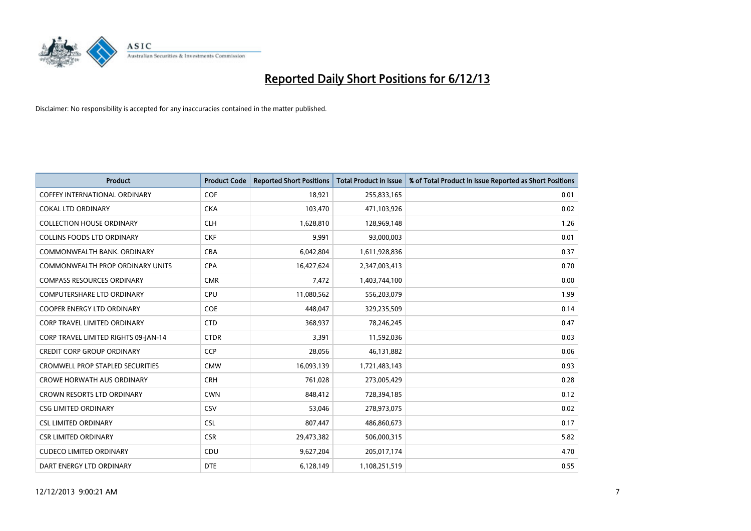

| <b>Product</b>                          | <b>Product Code</b> | <b>Reported Short Positions</b> | <b>Total Product in Issue</b> | % of Total Product in Issue Reported as Short Positions |
|-----------------------------------------|---------------------|---------------------------------|-------------------------------|---------------------------------------------------------|
| <b>COFFEY INTERNATIONAL ORDINARY</b>    | <b>COF</b>          | 18,921                          | 255,833,165                   | 0.01                                                    |
| COKAL LTD ORDINARY                      | <b>CKA</b>          | 103,470                         | 471,103,926                   | 0.02                                                    |
| <b>COLLECTION HOUSE ORDINARY</b>        | <b>CLH</b>          | 1,628,810                       | 128,969,148                   | 1.26                                                    |
| <b>COLLINS FOODS LTD ORDINARY</b>       | <b>CKF</b>          | 9,991                           | 93,000,003                    | 0.01                                                    |
| COMMONWEALTH BANK, ORDINARY             | <b>CBA</b>          | 6,042,804                       | 1,611,928,836                 | 0.37                                                    |
| <b>COMMONWEALTH PROP ORDINARY UNITS</b> | <b>CPA</b>          | 16,427,624                      | 2,347,003,413                 | 0.70                                                    |
| <b>COMPASS RESOURCES ORDINARY</b>       | <b>CMR</b>          | 7,472                           | 1,403,744,100                 | 0.00                                                    |
| <b>COMPUTERSHARE LTD ORDINARY</b>       | <b>CPU</b>          | 11,080,562                      | 556,203,079                   | 1.99                                                    |
| <b>COOPER ENERGY LTD ORDINARY</b>       | <b>COE</b>          | 448,047                         | 329,235,509                   | 0.14                                                    |
| CORP TRAVEL LIMITED ORDINARY            | <b>CTD</b>          | 368,937                         | 78,246,245                    | 0.47                                                    |
| CORP TRAVEL LIMITED RIGHTS 09-JAN-14    | <b>CTDR</b>         | 3,391                           | 11,592,036                    | 0.03                                                    |
| <b>CREDIT CORP GROUP ORDINARY</b>       | <b>CCP</b>          | 28,056                          | 46,131,882                    | 0.06                                                    |
| <b>CROMWELL PROP STAPLED SECURITIES</b> | <b>CMW</b>          | 16,093,139                      | 1,721,483,143                 | 0.93                                                    |
| <b>CROWE HORWATH AUS ORDINARY</b>       | <b>CRH</b>          | 761,028                         | 273,005,429                   | 0.28                                                    |
| <b>CROWN RESORTS LTD ORDINARY</b>       | <b>CWN</b>          | 848,412                         | 728,394,185                   | 0.12                                                    |
| <b>CSG LIMITED ORDINARY</b>             | CSV                 | 53,046                          | 278,973,075                   | 0.02                                                    |
| <b>CSL LIMITED ORDINARY</b>             | <b>CSL</b>          | 807,447                         | 486,860,673                   | 0.17                                                    |
| <b>CSR LIMITED ORDINARY</b>             | <b>CSR</b>          | 29,473,382                      | 506,000,315                   | 5.82                                                    |
| <b>CUDECO LIMITED ORDINARY</b>          | CDU                 | 9,627,204                       | 205,017,174                   | 4.70                                                    |
| DART ENERGY LTD ORDINARY                | <b>DTE</b>          | 6,128,149                       | 1,108,251,519                 | 0.55                                                    |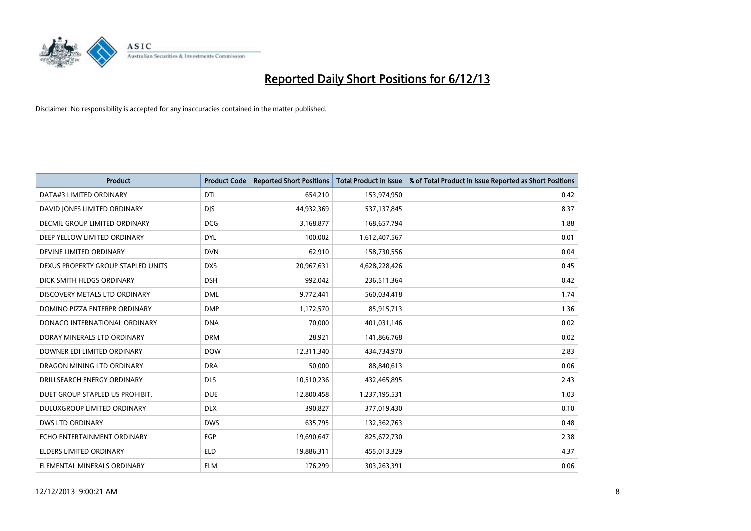

| <b>Product</b>                     | <b>Product Code</b> | <b>Reported Short Positions</b> | <b>Total Product in Issue</b> | % of Total Product in Issue Reported as Short Positions |
|------------------------------------|---------------------|---------------------------------|-------------------------------|---------------------------------------------------------|
| DATA#3 LIMITED ORDINARY            | <b>DTL</b>          | 654,210                         | 153,974,950                   | 0.42                                                    |
| DAVID JONES LIMITED ORDINARY       | <b>DJS</b>          | 44,932,369                      | 537,137,845                   | 8.37                                                    |
| DECMIL GROUP LIMITED ORDINARY      | <b>DCG</b>          | 3,168,877                       | 168,657,794                   | 1.88                                                    |
| DEEP YELLOW LIMITED ORDINARY       | <b>DYL</b>          | 100,002                         | 1,612,407,567                 | 0.01                                                    |
| DEVINE LIMITED ORDINARY            | <b>DVN</b>          | 62,910                          | 158,730,556                   | 0.04                                                    |
| DEXUS PROPERTY GROUP STAPLED UNITS | <b>DXS</b>          | 20,967,631                      | 4,628,228,426                 | 0.45                                                    |
| DICK SMITH HLDGS ORDINARY          | <b>DSH</b>          | 992.042                         | 236,511,364                   | 0.42                                                    |
| DISCOVERY METALS LTD ORDINARY      | <b>DML</b>          | 9,772,441                       | 560,034,418                   | 1.74                                                    |
| DOMINO PIZZA ENTERPR ORDINARY      | <b>DMP</b>          | 1,172,570                       | 85,915,713                    | 1.36                                                    |
| DONACO INTERNATIONAL ORDINARY      | <b>DNA</b>          | 70,000                          | 401,031,146                   | 0.02                                                    |
| DORAY MINERALS LTD ORDINARY        | <b>DRM</b>          | 28,921                          | 141,866,768                   | 0.02                                                    |
| DOWNER EDI LIMITED ORDINARY        | <b>DOW</b>          | 12,311,340                      | 434,734,970                   | 2.83                                                    |
| DRAGON MINING LTD ORDINARY         | <b>DRA</b>          | 50,000                          | 88,840,613                    | 0.06                                                    |
| DRILLSEARCH ENERGY ORDINARY        | <b>DLS</b>          | 10,510,236                      | 432,465,895                   | 2.43                                                    |
| DUET GROUP STAPLED US PROHIBIT.    | <b>DUE</b>          | 12,800,458                      | 1,237,195,531                 | 1.03                                                    |
| DULUXGROUP LIMITED ORDINARY        | <b>DLX</b>          | 390,827                         | 377,019,430                   | 0.10                                                    |
| <b>DWS LTD ORDINARY</b>            | <b>DWS</b>          | 635,795                         | 132,362,763                   | 0.48                                                    |
| ECHO ENTERTAINMENT ORDINARY        | <b>EGP</b>          | 19,690,647                      | 825,672,730                   | 2.38                                                    |
| ELDERS LIMITED ORDINARY            | <b>ELD</b>          | 19,886,311                      | 455,013,329                   | 4.37                                                    |
| ELEMENTAL MINERALS ORDINARY        | <b>ELM</b>          | 176,299                         | 303,263,391                   | 0.06                                                    |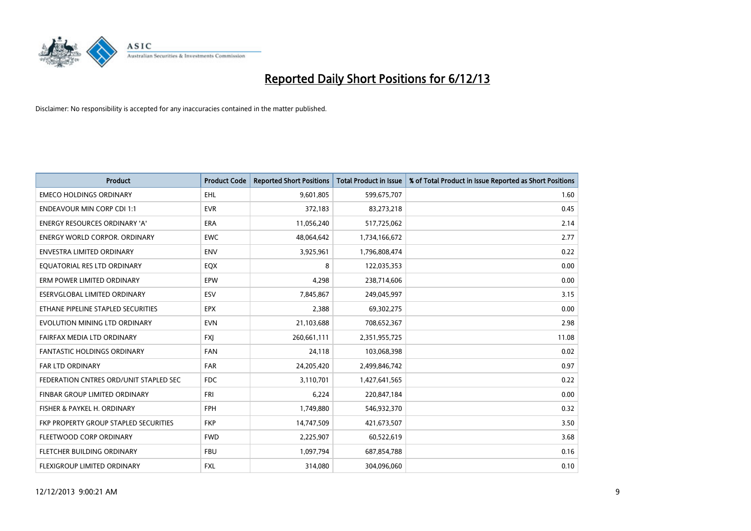

| <b>Product</b>                         | <b>Product Code</b> | <b>Reported Short Positions</b> | <b>Total Product in Issue</b> | % of Total Product in Issue Reported as Short Positions |
|----------------------------------------|---------------------|---------------------------------|-------------------------------|---------------------------------------------------------|
| <b>EMECO HOLDINGS ORDINARY</b>         | <b>EHL</b>          | 9,601,805                       | 599,675,707                   | 1.60                                                    |
| <b>ENDEAVOUR MIN CORP CDI 1:1</b>      | <b>EVR</b>          | 372,183                         | 83,273,218                    | 0.45                                                    |
| <b>ENERGY RESOURCES ORDINARY 'A'</b>   | <b>ERA</b>          | 11,056,240                      | 517,725,062                   | 2.14                                                    |
| ENERGY WORLD CORPOR. ORDINARY          | <b>EWC</b>          | 48,064,642                      | 1,734,166,672                 | 2.77                                                    |
| <b>ENVESTRA LIMITED ORDINARY</b>       | <b>ENV</b>          | 3,925,961                       | 1,796,808,474                 | 0.22                                                    |
| EQUATORIAL RES LTD ORDINARY            | EQX                 | 8                               | 122,035,353                   | 0.00                                                    |
| ERM POWER LIMITED ORDINARY             | <b>EPW</b>          | 4,298                           | 238,714,606                   | 0.00                                                    |
| ESERVGLOBAL LIMITED ORDINARY           | ESV                 | 7,845,867                       | 249,045,997                   | 3.15                                                    |
| ETHANE PIPELINE STAPLED SECURITIES     | <b>EPX</b>          | 2,388                           | 69,302,275                    | 0.00                                                    |
| EVOLUTION MINING LTD ORDINARY          | <b>EVN</b>          | 21,103,688                      | 708,652,367                   | 2.98                                                    |
| FAIRFAX MEDIA LTD ORDINARY             | <b>FXI</b>          | 260,661,111                     | 2,351,955,725                 | 11.08                                                   |
| <b>FANTASTIC HOLDINGS ORDINARY</b>     | FAN                 | 24,118                          | 103,068,398                   | 0.02                                                    |
| FAR LTD ORDINARY                       | <b>FAR</b>          | 24,205,420                      | 2,499,846,742                 | 0.97                                                    |
| FEDERATION CNTRES ORD/UNIT STAPLED SEC | <b>FDC</b>          | 3,110,701                       | 1,427,641,565                 | 0.22                                                    |
| FINBAR GROUP LIMITED ORDINARY          | FRI                 | 6,224                           | 220,847,184                   | 0.00                                                    |
| FISHER & PAYKEL H. ORDINARY            | <b>FPH</b>          | 1,749,880                       | 546,932,370                   | 0.32                                                    |
| FKP PROPERTY GROUP STAPLED SECURITIES  | <b>FKP</b>          | 14,747,509                      | 421,673,507                   | 3.50                                                    |
| FLEETWOOD CORP ORDINARY                | <b>FWD</b>          | 2,225,907                       | 60,522,619                    | 3.68                                                    |
| FLETCHER BUILDING ORDINARY             | <b>FBU</b>          | 1,097,794                       | 687,854,788                   | 0.16                                                    |
| FLEXIGROUP LIMITED ORDINARY            | FXL                 | 314,080                         | 304,096,060                   | 0.10                                                    |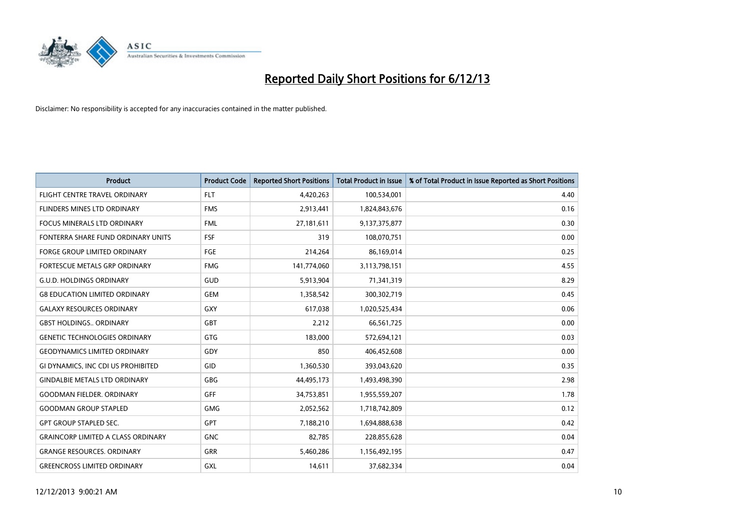

| <b>Product</b>                            | <b>Product Code</b> | <b>Reported Short Positions</b> | <b>Total Product in Issue</b> | % of Total Product in Issue Reported as Short Positions |
|-------------------------------------------|---------------------|---------------------------------|-------------------------------|---------------------------------------------------------|
| FLIGHT CENTRE TRAVEL ORDINARY             | <b>FLT</b>          | 4,420,263                       | 100,534,001                   | 4.40                                                    |
| <b>FLINDERS MINES LTD ORDINARY</b>        | <b>FMS</b>          | 2,913,441                       | 1,824,843,676                 | 0.16                                                    |
| FOCUS MINERALS LTD ORDINARY               | <b>FML</b>          | 27,181,611                      | 9,137,375,877                 | 0.30                                                    |
| FONTERRA SHARE FUND ORDINARY UNITS        | <b>FSF</b>          | 319                             | 108,070,751                   | 0.00                                                    |
| <b>FORGE GROUP LIMITED ORDINARY</b>       | FGE                 | 214,264                         | 86,169,014                    | 0.25                                                    |
| FORTESCUE METALS GRP ORDINARY             | <b>FMG</b>          | 141,774,060                     | 3,113,798,151                 | 4.55                                                    |
| <b>G.U.D. HOLDINGS ORDINARY</b>           | GUD                 | 5,913,904                       | 71,341,319                    | 8.29                                                    |
| <b>G8 EDUCATION LIMITED ORDINARY</b>      | <b>GEM</b>          | 1,358,542                       | 300,302,719                   | 0.45                                                    |
| <b>GALAXY RESOURCES ORDINARY</b>          | GXY                 | 617,038                         | 1,020,525,434                 | 0.06                                                    |
| <b>GBST HOLDINGS., ORDINARY</b>           | <b>GBT</b>          | 2,212                           | 66,561,725                    | 0.00                                                    |
| <b>GENETIC TECHNOLOGIES ORDINARY</b>      | <b>GTG</b>          | 183,000                         | 572,694,121                   | 0.03                                                    |
| <b>GEODYNAMICS LIMITED ORDINARY</b>       | GDY                 | 850                             | 406,452,608                   | 0.00                                                    |
| GI DYNAMICS, INC CDI US PROHIBITED        | GID                 | 1,360,530                       | 393,043,620                   | 0.35                                                    |
| <b>GINDALBIE METALS LTD ORDINARY</b>      | GBG                 | 44,495,173                      | 1,493,498,390                 | 2.98                                                    |
| <b>GOODMAN FIELDER, ORDINARY</b>          | <b>GFF</b>          | 34,753,851                      | 1,955,559,207                 | 1.78                                                    |
| <b>GOODMAN GROUP STAPLED</b>              | <b>GMG</b>          | 2,052,562                       | 1,718,742,809                 | 0.12                                                    |
| <b>GPT GROUP STAPLED SEC.</b>             | GPT                 | 7,188,210                       | 1,694,888,638                 | 0.42                                                    |
| <b>GRAINCORP LIMITED A CLASS ORDINARY</b> | <b>GNC</b>          | 82,785                          | 228,855,628                   | 0.04                                                    |
| <b>GRANGE RESOURCES, ORDINARY</b>         | <b>GRR</b>          | 5,460,286                       | 1,156,492,195                 | 0.47                                                    |
| <b>GREENCROSS LIMITED ORDINARY</b>        | <b>GXL</b>          | 14,611                          | 37,682,334                    | 0.04                                                    |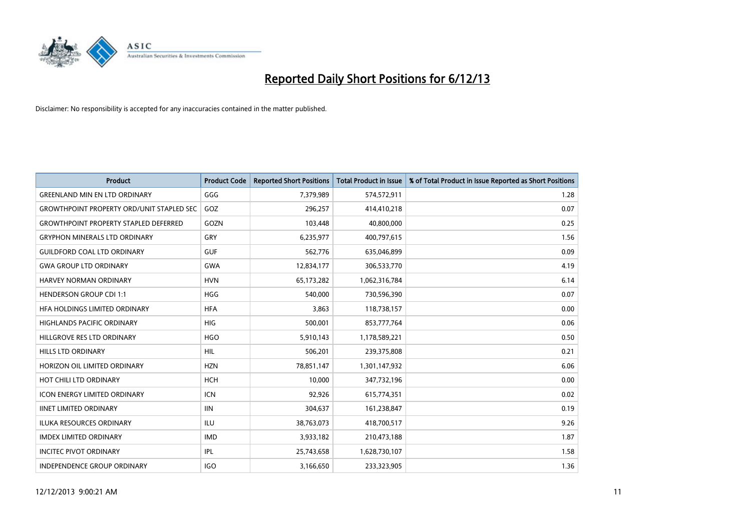

| <b>Product</b>                                   | <b>Product Code</b> | <b>Reported Short Positions</b> | <b>Total Product in Issue</b> | % of Total Product in Issue Reported as Short Positions |
|--------------------------------------------------|---------------------|---------------------------------|-------------------------------|---------------------------------------------------------|
| <b>GREENLAND MIN EN LTD ORDINARY</b>             | GGG                 | 7,379,989                       | 574,572,911                   | 1.28                                                    |
| <b>GROWTHPOINT PROPERTY ORD/UNIT STAPLED SEC</b> | GOZ                 | 296,257                         | 414,410,218                   | 0.07                                                    |
| <b>GROWTHPOINT PROPERTY STAPLED DEFERRED</b>     | GOZN                | 103,448                         | 40,800,000                    | 0.25                                                    |
| <b>GRYPHON MINERALS LTD ORDINARY</b>             | GRY                 | 6,235,977                       | 400,797,615                   | 1.56                                                    |
| <b>GUILDFORD COAL LTD ORDINARY</b>               | <b>GUF</b>          | 562,776                         | 635,046,899                   | 0.09                                                    |
| <b>GWA GROUP LTD ORDINARY</b>                    | <b>GWA</b>          | 12,834,177                      | 306,533,770                   | 4.19                                                    |
| <b>HARVEY NORMAN ORDINARY</b>                    | <b>HVN</b>          | 65,173,282                      | 1,062,316,784                 | 6.14                                                    |
| <b>HENDERSON GROUP CDI 1:1</b>                   | <b>HGG</b>          | 540,000                         | 730,596,390                   | 0.07                                                    |
| HEA HOLDINGS LIMITED ORDINARY                    | <b>HFA</b>          | 3,863                           | 118,738,157                   | 0.00                                                    |
| <b>HIGHLANDS PACIFIC ORDINARY</b>                | <b>HIG</b>          | 500,001                         | 853,777,764                   | 0.06                                                    |
| HILLGROVE RES LTD ORDINARY                       | <b>HGO</b>          | 5,910,143                       | 1,178,589,221                 | 0.50                                                    |
| <b>HILLS LTD ORDINARY</b>                        | HIL                 | 506,201                         | 239,375,808                   | 0.21                                                    |
| HORIZON OIL LIMITED ORDINARY                     | <b>HZN</b>          | 78,851,147                      | 1,301,147,932                 | 6.06                                                    |
| HOT CHILI LTD ORDINARY                           | <b>HCH</b>          | 10.000                          | 347,732,196                   | 0.00                                                    |
| ICON ENERGY LIMITED ORDINARY                     | <b>ICN</b>          | 92,926                          | 615,774,351                   | 0.02                                                    |
| <b>IINET LIMITED ORDINARY</b>                    | <b>IIN</b>          | 304,637                         | 161,238,847                   | 0.19                                                    |
| <b>ILUKA RESOURCES ORDINARY</b>                  | <b>ILU</b>          | 38,763,073                      | 418,700,517                   | 9.26                                                    |
| <b>IMDEX LIMITED ORDINARY</b>                    | <b>IMD</b>          | 3,933,182                       | 210,473,188                   | 1.87                                                    |
| <b>INCITEC PIVOT ORDINARY</b>                    | IPL                 | 25,743,658                      | 1,628,730,107                 | 1.58                                                    |
| INDEPENDENCE GROUP ORDINARY                      | <b>IGO</b>          | 3,166,650                       | 233,323,905                   | 1.36                                                    |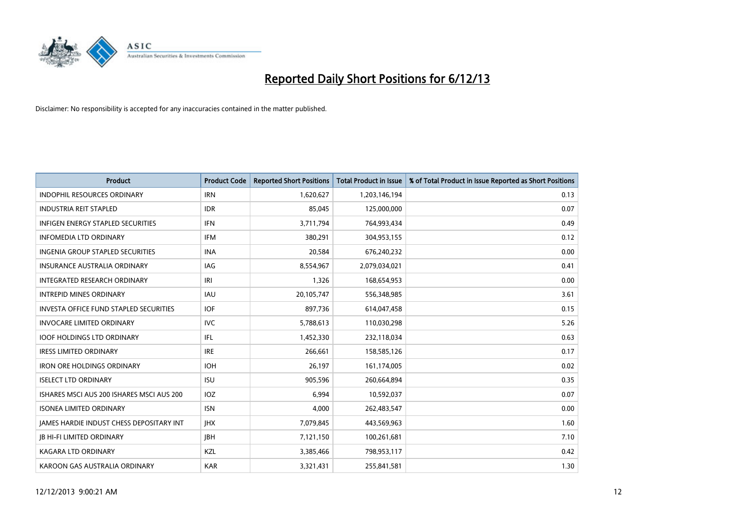

| <b>Product</b>                                | <b>Product Code</b> | <b>Reported Short Positions</b> | <b>Total Product in Issue</b> | % of Total Product in Issue Reported as Short Positions |
|-----------------------------------------------|---------------------|---------------------------------|-------------------------------|---------------------------------------------------------|
| <b>INDOPHIL RESOURCES ORDINARY</b>            | <b>IRN</b>          | 1,620,627                       | 1,203,146,194                 | 0.13                                                    |
| <b>INDUSTRIA REIT STAPLED</b>                 | <b>IDR</b>          | 85,045                          | 125,000,000                   | 0.07                                                    |
| <b>INFIGEN ENERGY STAPLED SECURITIES</b>      | <b>IFN</b>          | 3,711,794                       | 764,993,434                   | 0.49                                                    |
| <b>INFOMEDIA LTD ORDINARY</b>                 | <b>IFM</b>          | 380,291                         | 304,953,155                   | 0.12                                                    |
| <b>INGENIA GROUP STAPLED SECURITIES</b>       | <b>INA</b>          | 20,584                          | 676,240,232                   | 0.00                                                    |
| <b>INSURANCE AUSTRALIA ORDINARY</b>           | <b>IAG</b>          | 8,554,967                       | 2,079,034,021                 | 0.41                                                    |
| INTEGRATED RESEARCH ORDINARY                  | IRI                 | 1,326                           | 168,654,953                   | 0.00                                                    |
| <b>INTREPID MINES ORDINARY</b>                | <b>IAU</b>          | 20,105,747                      | 556,348,985                   | 3.61                                                    |
| <b>INVESTA OFFICE FUND STAPLED SECURITIES</b> | <b>IOF</b>          | 897,736                         | 614,047,458                   | 0.15                                                    |
| <b>INVOCARE LIMITED ORDINARY</b>              | <b>IVC</b>          | 5,788,613                       | 110,030,298                   | 5.26                                                    |
| <b>IOOF HOLDINGS LTD ORDINARY</b>             | IFL                 | 1,452,330                       | 232,118,034                   | 0.63                                                    |
| <b>IRESS LIMITED ORDINARY</b>                 | <b>IRE</b>          | 266,661                         | 158,585,126                   | 0.17                                                    |
| <b>IRON ORE HOLDINGS ORDINARY</b>             | <b>IOH</b>          | 26,197                          | 161,174,005                   | 0.02                                                    |
| <b>ISELECT LTD ORDINARY</b>                   | <b>ISU</b>          | 905,596                         | 260,664,894                   | 0.35                                                    |
| ISHARES MSCI AUS 200 ISHARES MSCI AUS 200     | <b>IOZ</b>          | 6,994                           | 10,592,037                    | 0.07                                                    |
| <b>ISONEA LIMITED ORDINARY</b>                | <b>ISN</b>          | 4.000                           | 262,483,547                   | 0.00                                                    |
| JAMES HARDIE INDUST CHESS DEPOSITARY INT      | <b>IHX</b>          | 7,079,845                       | 443,569,963                   | 1.60                                                    |
| <b>JB HI-FI LIMITED ORDINARY</b>              | <b>JBH</b>          | 7,121,150                       | 100,261,681                   | 7.10                                                    |
| <b>KAGARA LTD ORDINARY</b>                    | KZL                 | 3,385,466                       | 798,953,117                   | 0.42                                                    |
| KAROON GAS AUSTRALIA ORDINARY                 | <b>KAR</b>          | 3,321,431                       | 255,841,581                   | 1.30                                                    |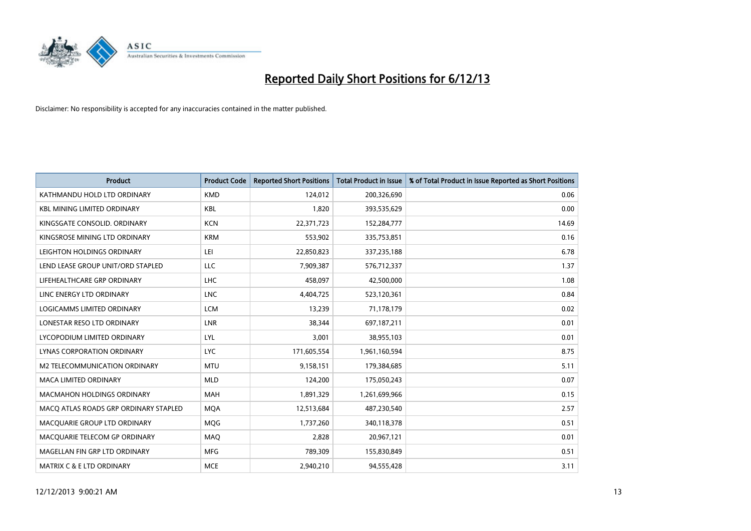

| <b>Product</b>                        | <b>Product Code</b> | <b>Reported Short Positions</b> | <b>Total Product in Issue</b> | % of Total Product in Issue Reported as Short Positions |
|---------------------------------------|---------------------|---------------------------------|-------------------------------|---------------------------------------------------------|
| KATHMANDU HOLD LTD ORDINARY           | <b>KMD</b>          | 124,012                         | 200,326,690                   | 0.06                                                    |
| <b>KBL MINING LIMITED ORDINARY</b>    | <b>KBL</b>          | 1,820                           | 393,535,629                   | 0.00                                                    |
| KINGSGATE CONSOLID. ORDINARY          | <b>KCN</b>          | 22,371,723                      | 152,284,777                   | 14.69                                                   |
| KINGSROSE MINING LTD ORDINARY         | <b>KRM</b>          | 553,902                         | 335,753,851                   | 0.16                                                    |
| LEIGHTON HOLDINGS ORDINARY            | LEI                 | 22,850,823                      | 337,235,188                   | 6.78                                                    |
| LEND LEASE GROUP UNIT/ORD STAPLED     | <b>LLC</b>          | 7,909,387                       | 576,712,337                   | 1.37                                                    |
| LIFEHEALTHCARE GRP ORDINARY           | <b>LHC</b>          | 458,097                         | 42,500,000                    | 1.08                                                    |
| LINC ENERGY LTD ORDINARY              | <b>LNC</b>          | 4,404,725                       | 523,120,361                   | 0.84                                                    |
| LOGICAMMS LIMITED ORDINARY            | <b>LCM</b>          | 13,239                          | 71,178,179                    | 0.02                                                    |
| LONESTAR RESO LTD ORDINARY            | <b>LNR</b>          | 38,344                          | 697,187,211                   | 0.01                                                    |
| LYCOPODIUM LIMITED ORDINARY           | LYL                 | 3,001                           | 38,955,103                    | 0.01                                                    |
| <b>LYNAS CORPORATION ORDINARY</b>     | <b>LYC</b>          | 171,605,554                     | 1,961,160,594                 | 8.75                                                    |
| M2 TELECOMMUNICATION ORDINARY         | <b>MTU</b>          | 9,158,151                       | 179,384,685                   | 5.11                                                    |
| <b>MACA LIMITED ORDINARY</b>          | <b>MLD</b>          | 124,200                         | 175,050,243                   | 0.07                                                    |
| <b>MACMAHON HOLDINGS ORDINARY</b>     | <b>MAH</b>          | 1,891,329                       | 1,261,699,966                 | 0.15                                                    |
| MACO ATLAS ROADS GRP ORDINARY STAPLED | <b>MOA</b>          | 12,513,684                      | 487,230,540                   | 2.57                                                    |
| MACQUARIE GROUP LTD ORDINARY          | MQG                 | 1,737,260                       | 340,118,378                   | 0.51                                                    |
| MACQUARIE TELECOM GP ORDINARY         | MAQ                 | 2,828                           | 20,967,121                    | 0.01                                                    |
| MAGELLAN FIN GRP LTD ORDINARY         | <b>MFG</b>          | 789,309                         | 155,830,849                   | 0.51                                                    |
| <b>MATRIX C &amp; E LTD ORDINARY</b>  | <b>MCE</b>          | 2,940,210                       | 94,555,428                    | 3.11                                                    |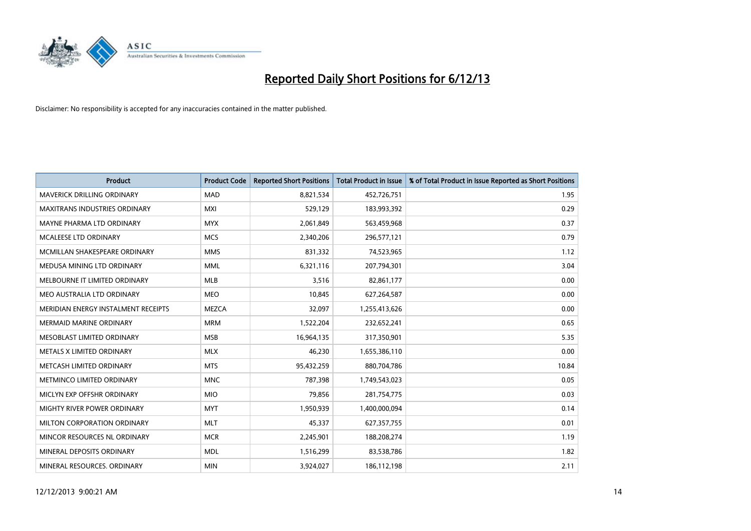

| <b>Product</b>                       | <b>Product Code</b> | <b>Reported Short Positions</b> | <b>Total Product in Issue</b> | % of Total Product in Issue Reported as Short Positions |
|--------------------------------------|---------------------|---------------------------------|-------------------------------|---------------------------------------------------------|
| <b>MAVERICK DRILLING ORDINARY</b>    | <b>MAD</b>          | 8,821,534                       | 452,726,751                   | 1.95                                                    |
| <b>MAXITRANS INDUSTRIES ORDINARY</b> | <b>MXI</b>          | 529,129                         | 183,993,392                   | 0.29                                                    |
| MAYNE PHARMA LTD ORDINARY            | <b>MYX</b>          | 2,061,849                       | 563,459,968                   | 0.37                                                    |
| MCALEESE LTD ORDINARY                | <b>MCS</b>          | 2,340,206                       | 296,577,121                   | 0.79                                                    |
| MCMILLAN SHAKESPEARE ORDINARY        | <b>MMS</b>          | 831,332                         | 74,523,965                    | 1.12                                                    |
| MEDUSA MINING LTD ORDINARY           | <b>MML</b>          | 6,321,116                       | 207,794,301                   | 3.04                                                    |
| MELBOURNE IT LIMITED ORDINARY        | <b>MLB</b>          | 3,516                           | 82,861,177                    | 0.00                                                    |
| MEO AUSTRALIA LTD ORDINARY           | <b>MEO</b>          | 10,845                          | 627,264,587                   | 0.00                                                    |
| MERIDIAN ENERGY INSTALMENT RECEIPTS  | <b>MEZCA</b>        | 32,097                          | 1,255,413,626                 | 0.00                                                    |
| <b>MERMAID MARINE ORDINARY</b>       | <b>MRM</b>          | 1,522,204                       | 232,652,241                   | 0.65                                                    |
| MESOBLAST LIMITED ORDINARY           | <b>MSB</b>          | 16,964,135                      | 317,350,901                   | 5.35                                                    |
| METALS X LIMITED ORDINARY            | <b>MLX</b>          | 46,230                          | 1,655,386,110                 | 0.00                                                    |
| METCASH LIMITED ORDINARY             | <b>MTS</b>          | 95,432,259                      | 880,704,786                   | 10.84                                                   |
| METMINCO LIMITED ORDINARY            | <b>MNC</b>          | 787,398                         | 1,749,543,023                 | 0.05                                                    |
| MICLYN EXP OFFSHR ORDINARY           | <b>MIO</b>          | 79,856                          | 281,754,775                   | 0.03                                                    |
| MIGHTY RIVER POWER ORDINARY          | <b>MYT</b>          | 1,950,939                       | 1,400,000,094                 | 0.14                                                    |
| MILTON CORPORATION ORDINARY          | <b>MLT</b>          | 45,337                          | 627,357,755                   | 0.01                                                    |
| MINCOR RESOURCES NL ORDINARY         | <b>MCR</b>          | 2,245,901                       | 188,208,274                   | 1.19                                                    |
| MINERAL DEPOSITS ORDINARY            | <b>MDL</b>          | 1,516,299                       | 83,538,786                    | 1.82                                                    |
| MINERAL RESOURCES, ORDINARY          | <b>MIN</b>          | 3,924,027                       | 186, 112, 198                 | 2.11                                                    |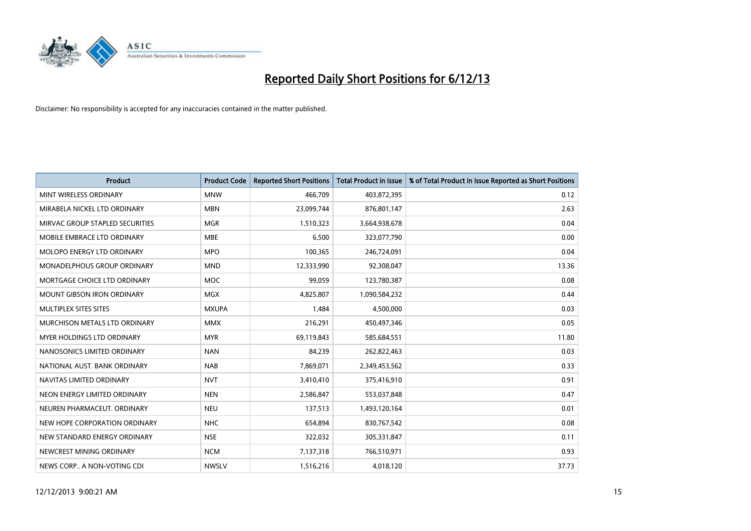

| <b>Product</b>                  | <b>Product Code</b> | <b>Reported Short Positions</b> | <b>Total Product in Issue</b> | % of Total Product in Issue Reported as Short Positions |
|---------------------------------|---------------------|---------------------------------|-------------------------------|---------------------------------------------------------|
| MINT WIRELESS ORDINARY          | <b>MNW</b>          | 466,709                         | 403,872,395                   | 0.12                                                    |
| MIRABELA NICKEL LTD ORDINARY    | <b>MBN</b>          | 23,099,744                      | 876,801,147                   | 2.63                                                    |
| MIRVAC GROUP STAPLED SECURITIES | <b>MGR</b>          | 1,510,323                       | 3,664,938,678                 | 0.04                                                    |
| MOBILE EMBRACE LTD ORDINARY     | <b>MBE</b>          | 6,500                           | 323,077,790                   | 0.00                                                    |
| MOLOPO ENERGY LTD ORDINARY      | <b>MPO</b>          | 100,365                         | 246,724,091                   | 0.04                                                    |
| MONADELPHOUS GROUP ORDINARY     | <b>MND</b>          | 12,333,990                      | 92,308,047                    | 13.36                                                   |
| MORTGAGE CHOICE LTD ORDINARY    | MOC                 | 99,059                          | 123,780,387                   | 0.08                                                    |
| MOUNT GIBSON IRON ORDINARY      | <b>MGX</b>          | 4,825,807                       | 1,090,584,232                 | 0.44                                                    |
| MULTIPLEX SITES SITES           | <b>MXUPA</b>        | 1,484                           | 4,500,000                     | 0.03                                                    |
| MURCHISON METALS LTD ORDINARY   | <b>MMX</b>          | 216,291                         | 450,497,346                   | 0.05                                                    |
| MYER HOLDINGS LTD ORDINARY      | <b>MYR</b>          | 69,119,843                      | 585,684,551                   | 11.80                                                   |
| NANOSONICS LIMITED ORDINARY     | <b>NAN</b>          | 84,239                          | 262,822,463                   | 0.03                                                    |
| NATIONAL AUST, BANK ORDINARY    | <b>NAB</b>          | 7,869,071                       | 2,349,453,562                 | 0.33                                                    |
| NAVITAS LIMITED ORDINARY        | <b>NVT</b>          | 3,410,410                       | 375,416,910                   | 0.91                                                    |
| NEON ENERGY LIMITED ORDINARY    | <b>NEN</b>          | 2,586,847                       | 553,037,848                   | 0.47                                                    |
| NEUREN PHARMACEUT. ORDINARY     | <b>NEU</b>          | 137,513                         | 1,493,120,164                 | 0.01                                                    |
| NEW HOPE CORPORATION ORDINARY   | <b>NHC</b>          | 654,894                         | 830,767,542                   | 0.08                                                    |
| NEW STANDARD ENERGY ORDINARY    | <b>NSE</b>          | 322,032                         | 305,331,847                   | 0.11                                                    |
| NEWCREST MINING ORDINARY        | <b>NCM</b>          | 7,137,318                       | 766,510,971                   | 0.93                                                    |
| NEWS CORP A NON-VOTING CDI      | <b>NWSLV</b>        | 1,516,216                       | 4,018,120                     | 37.73                                                   |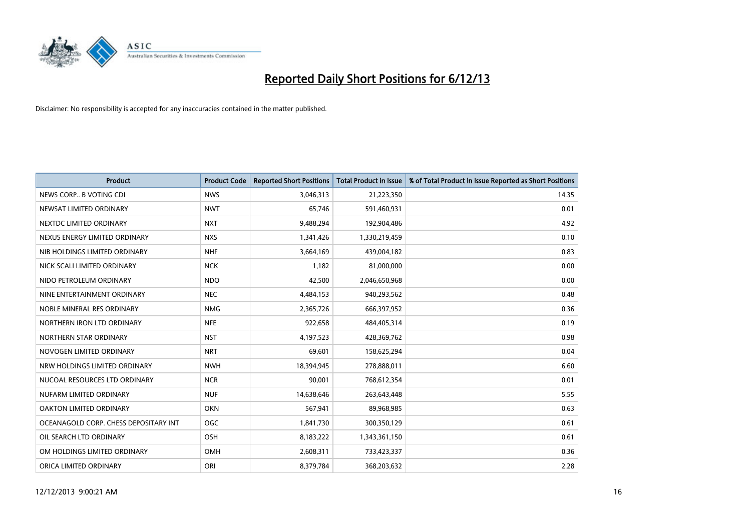

| <b>Product</b>                        | <b>Product Code</b> | <b>Reported Short Positions</b> | <b>Total Product in Issue</b> | % of Total Product in Issue Reported as Short Positions |
|---------------------------------------|---------------------|---------------------------------|-------------------------------|---------------------------------------------------------|
| NEWS CORP B VOTING CDI                | <b>NWS</b>          | 3,046,313                       | 21,223,350                    | 14.35                                                   |
| NEWSAT LIMITED ORDINARY               | <b>NWT</b>          | 65,746                          | 591,460,931                   | 0.01                                                    |
| NEXTDC LIMITED ORDINARY               | <b>NXT</b>          | 9,488,294                       | 192,904,486                   | 4.92                                                    |
| NEXUS ENERGY LIMITED ORDINARY         | <b>NXS</b>          | 1,341,426                       | 1,330,219,459                 | 0.10                                                    |
| NIB HOLDINGS LIMITED ORDINARY         | <b>NHF</b>          | 3,664,169                       | 439,004,182                   | 0.83                                                    |
| NICK SCALI LIMITED ORDINARY           | <b>NCK</b>          | 1,182                           | 81,000,000                    | 0.00                                                    |
| NIDO PETROLEUM ORDINARY               | <b>NDO</b>          | 42,500                          | 2,046,650,968                 | 0.00                                                    |
| NINE ENTERTAINMENT ORDINARY           | <b>NEC</b>          | 4,484,153                       | 940,293,562                   | 0.48                                                    |
| NOBLE MINERAL RES ORDINARY            | <b>NMG</b>          | 2,365,726                       | 666,397,952                   | 0.36                                                    |
| NORTHERN IRON LTD ORDINARY            | <b>NFE</b>          | 922,658                         | 484,405,314                   | 0.19                                                    |
| NORTHERN STAR ORDINARY                | <b>NST</b>          | 4,197,523                       | 428,369,762                   | 0.98                                                    |
| NOVOGEN LIMITED ORDINARY              | <b>NRT</b>          | 69,601                          | 158,625,294                   | 0.04                                                    |
| NRW HOLDINGS LIMITED ORDINARY         | <b>NWH</b>          | 18,394,945                      | 278,888,011                   | 6.60                                                    |
| NUCOAL RESOURCES LTD ORDINARY         | <b>NCR</b>          | 90,001                          | 768,612,354                   | 0.01                                                    |
| NUFARM LIMITED ORDINARY               | <b>NUF</b>          | 14,638,646                      | 263,643,448                   | 5.55                                                    |
| OAKTON LIMITED ORDINARY               | <b>OKN</b>          | 567,941                         | 89,968,985                    | 0.63                                                    |
| OCEANAGOLD CORP. CHESS DEPOSITARY INT | <b>OGC</b>          | 1,841,730                       | 300,350,129                   | 0.61                                                    |
| OIL SEARCH LTD ORDINARY               | OSH                 | 8,183,222                       | 1,343,361,150                 | 0.61                                                    |
| OM HOLDINGS LIMITED ORDINARY          | <b>OMH</b>          | 2,608,311                       | 733,423,337                   | 0.36                                                    |
| ORICA LIMITED ORDINARY                | ORI                 | 8,379,784                       | 368,203,632                   | 2.28                                                    |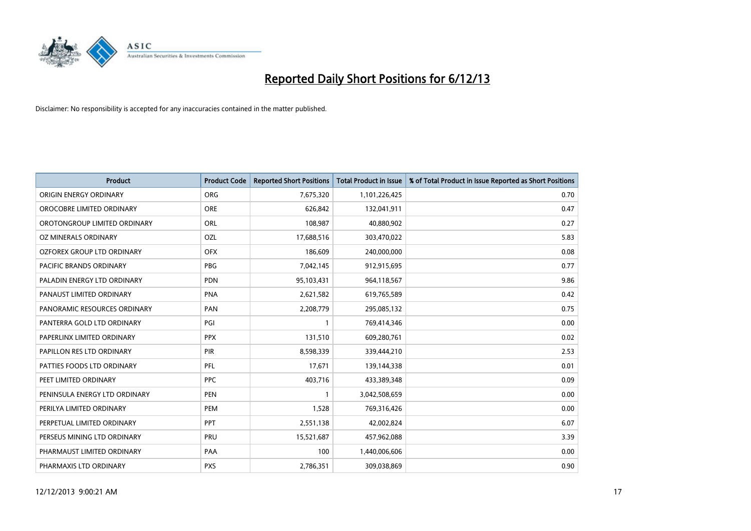

| <b>Product</b>                | <b>Product Code</b> | <b>Reported Short Positions</b> | <b>Total Product in Issue</b> | % of Total Product in Issue Reported as Short Positions |
|-------------------------------|---------------------|---------------------------------|-------------------------------|---------------------------------------------------------|
| ORIGIN ENERGY ORDINARY        | <b>ORG</b>          | 7,675,320                       | 1,101,226,425                 | 0.70                                                    |
| OROCOBRE LIMITED ORDINARY     | <b>ORE</b>          | 626,842                         | 132,041,911                   | 0.47                                                    |
| OROTONGROUP LIMITED ORDINARY  | ORL                 | 108,987                         | 40,880,902                    | 0.27                                                    |
| OZ MINERALS ORDINARY          | OZL                 | 17,688,516                      | 303,470,022                   | 5.83                                                    |
| OZFOREX GROUP LTD ORDINARY    | <b>OFX</b>          | 186,609                         | 240,000,000                   | 0.08                                                    |
| PACIFIC BRANDS ORDINARY       | <b>PBG</b>          | 7,042,145                       | 912,915,695                   | 0.77                                                    |
| PALADIN ENERGY LTD ORDINARY   | <b>PDN</b>          | 95,103,431                      | 964,118,567                   | 9.86                                                    |
| PANAUST LIMITED ORDINARY      | <b>PNA</b>          | 2,621,582                       | 619,765,589                   | 0.42                                                    |
| PANORAMIC RESOURCES ORDINARY  | PAN                 | 2,208,779                       | 295,085,132                   | 0.75                                                    |
| PANTERRA GOLD LTD ORDINARY    | PGI                 | $\mathbf{1}$                    | 769,414,346                   | 0.00                                                    |
| PAPERLINX LIMITED ORDINARY    | <b>PPX</b>          | 131,510                         | 609,280,761                   | 0.02                                                    |
| PAPILLON RES LTD ORDINARY     | <b>PIR</b>          | 8,598,339                       | 339,444,210                   | 2.53                                                    |
| PATTIES FOODS LTD ORDINARY    | PFL                 | 17,671                          | 139,144,338                   | 0.01                                                    |
| PEET LIMITED ORDINARY         | <b>PPC</b>          | 403,716                         | 433,389,348                   | 0.09                                                    |
| PENINSULA ENERGY LTD ORDINARY | <b>PEN</b>          | $\mathbf{1}$                    | 3,042,508,659                 | 0.00                                                    |
| PERILYA LIMITED ORDINARY      | PEM                 | 1,528                           | 769,316,426                   | 0.00                                                    |
| PERPETUAL LIMITED ORDINARY    | <b>PPT</b>          | 2,551,138                       | 42,002,824                    | 6.07                                                    |
| PERSEUS MINING LTD ORDINARY   | <b>PRU</b>          | 15,521,687                      | 457,962,088                   | 3.39                                                    |
| PHARMAUST LIMITED ORDINARY    | <b>PAA</b>          | 100                             | 1,440,006,606                 | 0.00                                                    |
| PHARMAXIS LTD ORDINARY        | <b>PXS</b>          | 2,786,351                       | 309,038,869                   | 0.90                                                    |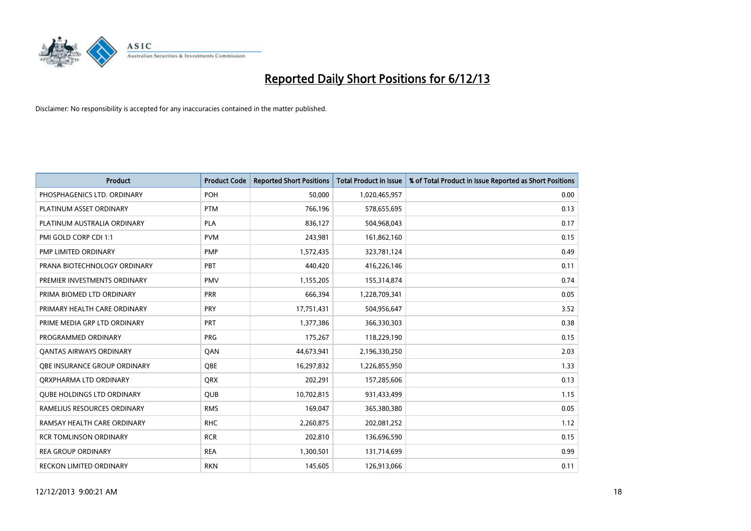

| <b>Product</b>                 | <b>Product Code</b> | <b>Reported Short Positions</b> | <b>Total Product in Issue</b> | % of Total Product in Issue Reported as Short Positions |
|--------------------------------|---------------------|---------------------------------|-------------------------------|---------------------------------------------------------|
| PHOSPHAGENICS LTD. ORDINARY    | POH                 | 50,000                          | 1,020,465,957                 | 0.00                                                    |
| PLATINUM ASSET ORDINARY        | <b>PTM</b>          | 766,196                         | 578,655,695                   | 0.13                                                    |
| PLATINUM AUSTRALIA ORDINARY    | <b>PLA</b>          | 836,127                         | 504,968,043                   | 0.17                                                    |
| PMI GOLD CORP CDI 1:1          | <b>PVM</b>          | 243,981                         | 161,862,160                   | 0.15                                                    |
| <b>PMP LIMITED ORDINARY</b>    | <b>PMP</b>          | 1,572,435                       | 323,781,124                   | 0.49                                                    |
| PRANA BIOTECHNOLOGY ORDINARY   | PBT                 | 440,420                         | 416,226,146                   | 0.11                                                    |
| PREMIER INVESTMENTS ORDINARY   | <b>PMV</b>          | 1,155,205                       | 155,314,874                   | 0.74                                                    |
| PRIMA BIOMED LTD ORDINARY      | <b>PRR</b>          | 666,394                         | 1,228,709,341                 | 0.05                                                    |
| PRIMARY HEALTH CARE ORDINARY   | <b>PRY</b>          | 17,751,431                      | 504,956,647                   | 3.52                                                    |
| PRIME MEDIA GRP LTD ORDINARY   | <b>PRT</b>          | 1,377,386                       | 366,330,303                   | 0.38                                                    |
| PROGRAMMED ORDINARY            | <b>PRG</b>          | 175,267                         | 118,229,190                   | 0.15                                                    |
| <b>QANTAS AIRWAYS ORDINARY</b> | QAN                 | 44,673,941                      | 2,196,330,250                 | 2.03                                                    |
| OBE INSURANCE GROUP ORDINARY   | <b>OBE</b>          | 16,297,832                      | 1,226,855,950                 | 1.33                                                    |
| ORXPHARMA LTD ORDINARY         | QRX                 | 202,291                         | 157,285,606                   | 0.13                                                    |
| QUBE HOLDINGS LTD ORDINARY     | <b>QUB</b>          | 10,702,815                      | 931,433,499                   | 1.15                                                    |
| RAMELIUS RESOURCES ORDINARY    | <b>RMS</b>          | 169,047                         | 365,380,380                   | 0.05                                                    |
| RAMSAY HEALTH CARE ORDINARY    | <b>RHC</b>          | 2,260,875                       | 202,081,252                   | 1.12                                                    |
| <b>RCR TOMLINSON ORDINARY</b>  | <b>RCR</b>          | 202,810                         | 136,696,590                   | 0.15                                                    |
| <b>REA GROUP ORDINARY</b>      | <b>REA</b>          | 1,300,501                       | 131,714,699                   | 0.99                                                    |
| RECKON LIMITED ORDINARY        | <b>RKN</b>          | 145,605                         | 126,913,066                   | 0.11                                                    |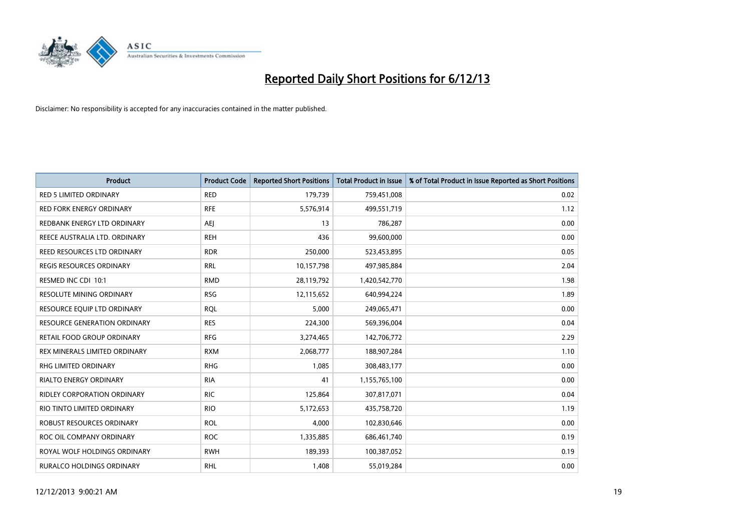

| <b>Product</b>                      | <b>Product Code</b> | <b>Reported Short Positions</b> | <b>Total Product in Issue</b> | % of Total Product in Issue Reported as Short Positions |
|-------------------------------------|---------------------|---------------------------------|-------------------------------|---------------------------------------------------------|
| <b>RED 5 LIMITED ORDINARY</b>       | <b>RED</b>          | 179,739                         | 759,451,008                   | 0.02                                                    |
| <b>RED FORK ENERGY ORDINARY</b>     | <b>RFE</b>          | 5,576,914                       | 499,551,719                   | 1.12                                                    |
| REDBANK ENERGY LTD ORDINARY         | AEJ                 | 13                              | 786,287                       | 0.00                                                    |
| REECE AUSTRALIA LTD. ORDINARY       | <b>REH</b>          | 436                             | 99,600,000                    | 0.00                                                    |
| REED RESOURCES LTD ORDINARY         | <b>RDR</b>          | 250,000                         | 523,453,895                   | 0.05                                                    |
| <b>REGIS RESOURCES ORDINARY</b>     | <b>RRL</b>          | 10,157,798                      | 497,985,884                   | 2.04                                                    |
| RESMED INC CDI 10:1                 | <b>RMD</b>          | 28,119,792                      | 1,420,542,770                 | 1.98                                                    |
| RESOLUTE MINING ORDINARY            | <b>RSG</b>          | 12,115,652                      | 640,994,224                   | 1.89                                                    |
| RESOURCE EQUIP LTD ORDINARY         | <b>RQL</b>          | 5,000                           | 249,065,471                   | 0.00                                                    |
| <b>RESOURCE GENERATION ORDINARY</b> | <b>RES</b>          | 224,300                         | 569,396,004                   | 0.04                                                    |
| RETAIL FOOD GROUP ORDINARY          | <b>RFG</b>          | 3,274,465                       | 142,706,772                   | 2.29                                                    |
| REX MINERALS LIMITED ORDINARY       | <b>RXM</b>          | 2,068,777                       | 188,907,284                   | 1.10                                                    |
| <b>RHG LIMITED ORDINARY</b>         | <b>RHG</b>          | 1,085                           | 308,483,177                   | 0.00                                                    |
| <b>RIALTO ENERGY ORDINARY</b>       | <b>RIA</b>          | 41                              | 1,155,765,100                 | 0.00                                                    |
| <b>RIDLEY CORPORATION ORDINARY</b>  | <b>RIC</b>          | 125,864                         | 307,817,071                   | 0.04                                                    |
| RIO TINTO LIMITED ORDINARY          | <b>RIO</b>          | 5,172,653                       | 435,758,720                   | 1.19                                                    |
| ROBUST RESOURCES ORDINARY           | <b>ROL</b>          | 4,000                           | 102,830,646                   | 0.00                                                    |
| ROC OIL COMPANY ORDINARY            | <b>ROC</b>          | 1,335,885                       | 686,461,740                   | 0.19                                                    |
| ROYAL WOLF HOLDINGS ORDINARY        | <b>RWH</b>          | 189,393                         | 100,387,052                   | 0.19                                                    |
| <b>RURALCO HOLDINGS ORDINARY</b>    | <b>RHL</b>          | 1,408                           | 55,019,284                    | 0.00                                                    |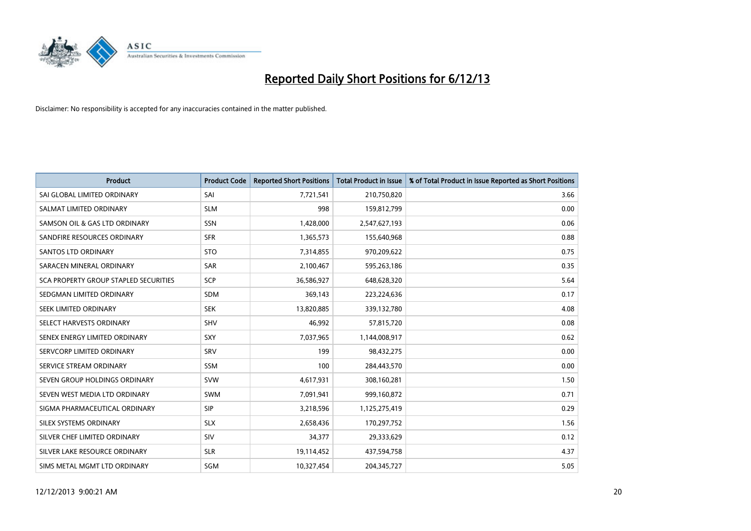

| <b>Product</b>                        | <b>Product Code</b> | <b>Reported Short Positions</b> | <b>Total Product in Issue</b> | % of Total Product in Issue Reported as Short Positions |
|---------------------------------------|---------------------|---------------------------------|-------------------------------|---------------------------------------------------------|
| SAI GLOBAL LIMITED ORDINARY           | SAI                 | 7,721,541                       | 210,750,820                   | 3.66                                                    |
| SALMAT LIMITED ORDINARY               | <b>SLM</b>          | 998                             | 159,812,799                   | 0.00                                                    |
| SAMSON OIL & GAS LTD ORDINARY         | SSN                 | 1,428,000                       | 2,547,627,193                 | 0.06                                                    |
| SANDFIRE RESOURCES ORDINARY           | <b>SFR</b>          | 1,365,573                       | 155,640,968                   | 0.88                                                    |
| <b>SANTOS LTD ORDINARY</b>            | <b>STO</b>          | 7,314,855                       | 970,209,622                   | 0.75                                                    |
| SARACEN MINERAL ORDINARY              | SAR                 | 2,100,467                       | 595,263,186                   | 0.35                                                    |
| SCA PROPERTY GROUP STAPLED SECURITIES | <b>SCP</b>          | 36,586,927                      | 648,628,320                   | 5.64                                                    |
| SEDGMAN LIMITED ORDINARY              | <b>SDM</b>          | 369,143                         | 223,224,636                   | 0.17                                                    |
| SEEK LIMITED ORDINARY                 | <b>SEK</b>          | 13,820,885                      | 339,132,780                   | 4.08                                                    |
| SELECT HARVESTS ORDINARY              | SHV                 | 46,992                          | 57,815,720                    | 0.08                                                    |
| SENEX ENERGY LIMITED ORDINARY         | <b>SXY</b>          | 7,037,965                       | 1,144,008,917                 | 0.62                                                    |
| SERVCORP LIMITED ORDINARY             | SRV                 | 199                             | 98,432,275                    | 0.00                                                    |
| SERVICE STREAM ORDINARY               | <b>SSM</b>          | 100                             | 284,443,570                   | 0.00                                                    |
| SEVEN GROUP HOLDINGS ORDINARY         | <b>SVW</b>          | 4,617,931                       | 308,160,281                   | 1.50                                                    |
| SEVEN WEST MEDIA LTD ORDINARY         | <b>SWM</b>          | 7,091,941                       | 999,160,872                   | 0.71                                                    |
| SIGMA PHARMACEUTICAL ORDINARY         | <b>SIP</b>          | 3,218,596                       | 1,125,275,419                 | 0.29                                                    |
| SILEX SYSTEMS ORDINARY                | <b>SLX</b>          | 2,658,436                       | 170,297,752                   | 1.56                                                    |
| SILVER CHEF LIMITED ORDINARY          | SIV                 | 34,377                          | 29,333,629                    | 0.12                                                    |
| SILVER LAKE RESOURCE ORDINARY         | <b>SLR</b>          | 19,114,452                      | 437,594,758                   | 4.37                                                    |
| SIMS METAL MGMT LTD ORDINARY          | SGM                 | 10,327,454                      | 204,345,727                   | 5.05                                                    |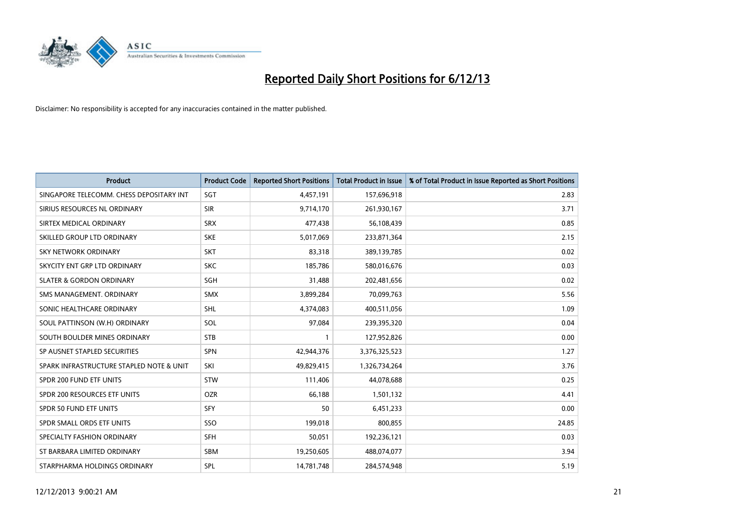

| <b>Product</b>                           | <b>Product Code</b> | <b>Reported Short Positions</b> | <b>Total Product in Issue</b> | % of Total Product in Issue Reported as Short Positions |
|------------------------------------------|---------------------|---------------------------------|-------------------------------|---------------------------------------------------------|
| SINGAPORE TELECOMM. CHESS DEPOSITARY INT | SGT                 | 4,457,191                       | 157,696,918                   | 2.83                                                    |
| SIRIUS RESOURCES NL ORDINARY             | <b>SIR</b>          | 9,714,170                       | 261,930,167                   | 3.71                                                    |
| SIRTEX MEDICAL ORDINARY                  | <b>SRX</b>          | 477,438                         | 56,108,439                    | 0.85                                                    |
| SKILLED GROUP LTD ORDINARY               | <b>SKE</b>          | 5,017,069                       | 233,871,364                   | 2.15                                                    |
| <b>SKY NETWORK ORDINARY</b>              | <b>SKT</b>          | 83,318                          | 389,139,785                   | 0.02                                                    |
| SKYCITY ENT GRP LTD ORDINARY             | <b>SKC</b>          | 185,786                         | 580,016,676                   | 0.03                                                    |
| <b>SLATER &amp; GORDON ORDINARY</b>      | SGH                 | 31,488                          | 202,481,656                   | 0.02                                                    |
| SMS MANAGEMENT, ORDINARY                 | <b>SMX</b>          | 3,899,284                       | 70,099,763                    | 5.56                                                    |
| SONIC HEALTHCARE ORDINARY                | <b>SHL</b>          | 4,374,083                       | 400,511,056                   | 1.09                                                    |
| SOUL PATTINSON (W.H) ORDINARY            | SOL                 | 97,084                          | 239,395,320                   | 0.04                                                    |
| SOUTH BOULDER MINES ORDINARY             | <b>STB</b>          | 1                               | 127,952,826                   | 0.00                                                    |
| SP AUSNET STAPLED SECURITIES             | <b>SPN</b>          | 42,944,376                      | 3,376,325,523                 | 1.27                                                    |
| SPARK INFRASTRUCTURE STAPLED NOTE & UNIT | SKI                 | 49,829,415                      | 1,326,734,264                 | 3.76                                                    |
| SPDR 200 FUND ETF UNITS                  | <b>STW</b>          | 111,406                         | 44,078,688                    | 0.25                                                    |
| SPDR 200 RESOURCES ETF UNITS             | <b>OZR</b>          | 66,188                          | 1,501,132                     | 4.41                                                    |
| SPDR 50 FUND ETF UNITS                   | <b>SFY</b>          | 50                              | 6,451,233                     | 0.00                                                    |
| SPDR SMALL ORDS ETF UNITS                | SSO                 | 199,018                         | 800,855                       | 24.85                                                   |
| SPECIALTY FASHION ORDINARY               | <b>SFH</b>          | 50,051                          | 192,236,121                   | 0.03                                                    |
| ST BARBARA LIMITED ORDINARY              | <b>SBM</b>          | 19,250,605                      | 488,074,077                   | 3.94                                                    |
| STARPHARMA HOLDINGS ORDINARY             | SPL                 | 14,781,748                      | 284,574,948                   | 5.19                                                    |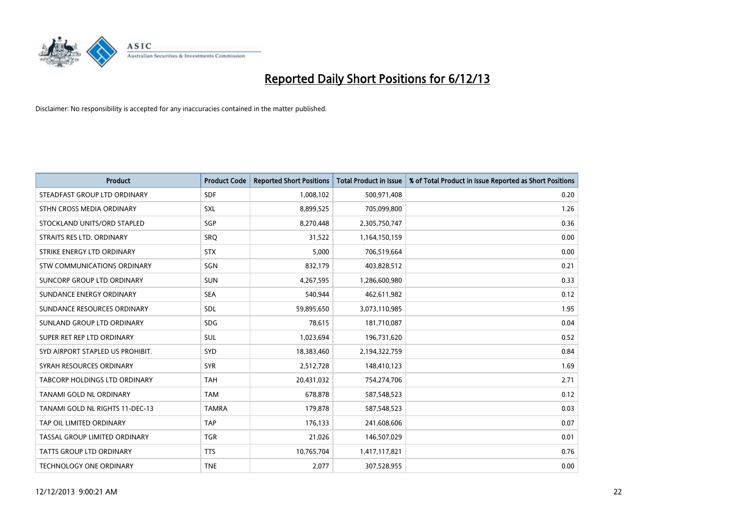

| <b>Product</b>                   | <b>Product Code</b> | <b>Reported Short Positions</b> | <b>Total Product in Issue</b> | % of Total Product in Issue Reported as Short Positions |
|----------------------------------|---------------------|---------------------------------|-------------------------------|---------------------------------------------------------|
| STEADFAST GROUP LTD ORDINARY     | <b>SDF</b>          | 1,008,102                       | 500,971,408                   | 0.20                                                    |
| STHN CROSS MEDIA ORDINARY        | <b>SXL</b>          | 8,899,525                       | 705,099,800                   | 1.26                                                    |
| STOCKLAND UNITS/ORD STAPLED      | SGP                 | 8,270,448                       | 2,305,750,747                 | 0.36                                                    |
| STRAITS RES LTD. ORDINARY        | <b>SRO</b>          | 31,522                          | 1,164,150,159                 | 0.00                                                    |
| STRIKE ENERGY LTD ORDINARY       | <b>STX</b>          | 5,000                           | 706,519,664                   | 0.00                                                    |
| STW COMMUNICATIONS ORDINARY      | SGN                 | 832,179                         | 403,828,512                   | 0.21                                                    |
| SUNCORP GROUP LTD ORDINARY       | <b>SUN</b>          | 4,267,595                       | 1,286,600,980                 | 0.33                                                    |
| SUNDANCE ENERGY ORDINARY         | <b>SEA</b>          | 540,944                         | 462,611,982                   | 0.12                                                    |
| SUNDANCE RESOURCES ORDINARY      | SDL                 | 59,895,650                      | 3,073,110,985                 | 1.95                                                    |
| SUNLAND GROUP LTD ORDINARY       | <b>SDG</b>          | 78,615                          | 181,710,087                   | 0.04                                                    |
| SUPER RET REP LTD ORDINARY       | SUL                 | 1,023,694                       | 196,731,620                   | 0.52                                                    |
| SYD AIRPORT STAPLED US PROHIBIT. | SYD                 | 18,383,460                      | 2,194,322,759                 | 0.84                                                    |
| SYRAH RESOURCES ORDINARY         | <b>SYR</b>          | 2,512,728                       | 148,410,123                   | 1.69                                                    |
| TABCORP HOLDINGS LTD ORDINARY    | <b>TAH</b>          | 20,431,032                      | 754,274,706                   | 2.71                                                    |
| TANAMI GOLD NL ORDINARY          | <b>TAM</b>          | 678,878                         | 587,548,523                   | 0.12                                                    |
| TANAMI GOLD NL RIGHTS 11-DEC-13  | <b>TAMRA</b>        | 179,878                         | 587,548,523                   | 0.03                                                    |
| TAP OIL LIMITED ORDINARY         | <b>TAP</b>          | 176,133                         | 241,608,606                   | 0.07                                                    |
| TASSAL GROUP LIMITED ORDINARY    | <b>TGR</b>          | 21,026                          | 146,507,029                   | 0.01                                                    |
| <b>TATTS GROUP LTD ORDINARY</b>  | <b>TTS</b>          | 10,765,704                      | 1,417,117,821                 | 0.76                                                    |
| TECHNOLOGY ONE ORDINARY          | <b>TNE</b>          | 2,077                           | 307,528,955                   | 0.00                                                    |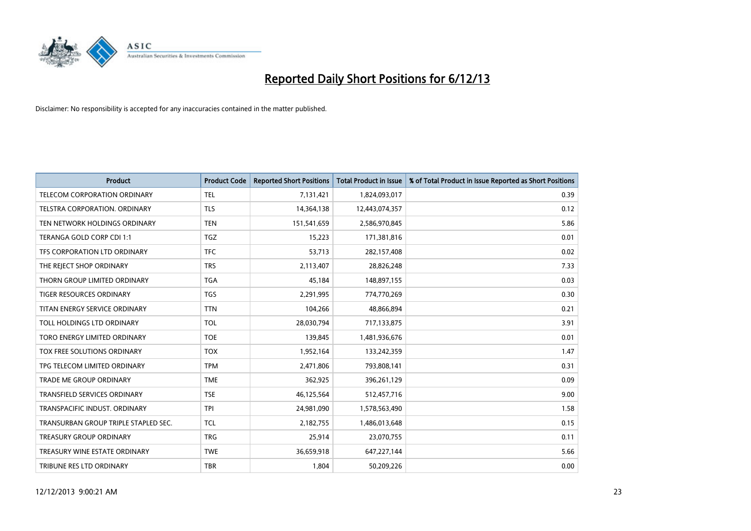

| <b>Product</b>                       | <b>Product Code</b> | <b>Reported Short Positions</b> | <b>Total Product in Issue</b> | % of Total Product in Issue Reported as Short Positions |
|--------------------------------------|---------------------|---------------------------------|-------------------------------|---------------------------------------------------------|
| <b>TELECOM CORPORATION ORDINARY</b>  | <b>TEL</b>          | 7,131,421                       | 1,824,093,017                 | 0.39                                                    |
| TELSTRA CORPORATION. ORDINARY        | <b>TLS</b>          | 14,364,138                      | 12,443,074,357                | 0.12                                                    |
| TEN NETWORK HOLDINGS ORDINARY        | <b>TEN</b>          | 151,541,659                     | 2,586,970,845                 | 5.86                                                    |
| TERANGA GOLD CORP CDI 1:1            | <b>TGZ</b>          | 15,223                          | 171,381,816                   | 0.01                                                    |
| TFS CORPORATION LTD ORDINARY         | <b>TFC</b>          | 53,713                          | 282,157,408                   | 0.02                                                    |
| THE REJECT SHOP ORDINARY             | <b>TRS</b>          | 2,113,407                       | 28,826,248                    | 7.33                                                    |
| THORN GROUP LIMITED ORDINARY         | <b>TGA</b>          | 45,184                          | 148,897,155                   | 0.03                                                    |
| TIGER RESOURCES ORDINARY             | <b>TGS</b>          | 2,291,995                       | 774,770,269                   | 0.30                                                    |
| TITAN ENERGY SERVICE ORDINARY        | <b>TTN</b>          | 104,266                         | 48,866,894                    | 0.21                                                    |
| <b>TOLL HOLDINGS LTD ORDINARY</b>    | <b>TOL</b>          | 28,030,794                      | 717,133,875                   | 3.91                                                    |
| TORO ENERGY LIMITED ORDINARY         | <b>TOE</b>          | 139,845                         | 1,481,936,676                 | 0.01                                                    |
| TOX FREE SOLUTIONS ORDINARY          | <b>TOX</b>          | 1,952,164                       | 133,242,359                   | 1.47                                                    |
| TPG TELECOM LIMITED ORDINARY         | <b>TPM</b>          | 2,471,806                       | 793,808,141                   | 0.31                                                    |
| <b>TRADE ME GROUP ORDINARY</b>       | <b>TME</b>          | 362,925                         | 396,261,129                   | 0.09                                                    |
| <b>TRANSFIELD SERVICES ORDINARY</b>  | <b>TSE</b>          | 46,125,564                      | 512,457,716                   | 9.00                                                    |
| TRANSPACIFIC INDUST, ORDINARY        | <b>TPI</b>          | 24,981,090                      | 1,578,563,490                 | 1.58                                                    |
| TRANSURBAN GROUP TRIPLE STAPLED SEC. | <b>TCL</b>          | 2,182,755                       | 1,486,013,648                 | 0.15                                                    |
| <b>TREASURY GROUP ORDINARY</b>       | <b>TRG</b>          | 25,914                          | 23,070,755                    | 0.11                                                    |
| TREASURY WINE ESTATE ORDINARY        | <b>TWE</b>          | 36,659,918                      | 647,227,144                   | 5.66                                                    |
| TRIBUNE RES LTD ORDINARY             | <b>TBR</b>          | 1,804                           | 50,209,226                    | 0.00                                                    |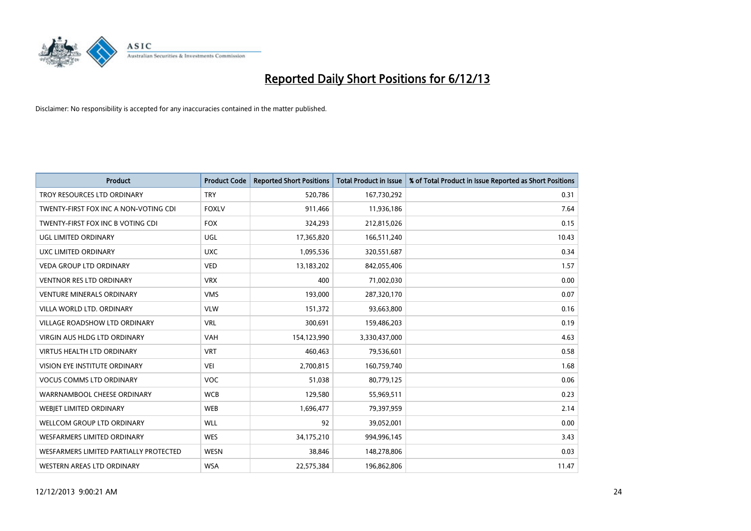

| <b>Product</b>                         | <b>Product Code</b> | <b>Reported Short Positions</b> | <b>Total Product in Issue</b> | % of Total Product in Issue Reported as Short Positions |
|----------------------------------------|---------------------|---------------------------------|-------------------------------|---------------------------------------------------------|
| TROY RESOURCES LTD ORDINARY            | <b>TRY</b>          | 520,786                         | 167,730,292                   | 0.31                                                    |
| TWENTY-FIRST FOX INC A NON-VOTING CDI  | <b>FOXLV</b>        | 911,466                         | 11,936,186                    | 7.64                                                    |
| TWENTY-FIRST FOX INC B VOTING CDI      | <b>FOX</b>          | 324,293                         | 212,815,026                   | 0.15                                                    |
| UGL LIMITED ORDINARY                   | UGL                 | 17,365,820                      | 166,511,240                   | 10.43                                                   |
| UXC LIMITED ORDINARY                   | <b>UXC</b>          | 1,095,536                       | 320,551,687                   | 0.34                                                    |
| <b>VEDA GROUP LTD ORDINARY</b>         | <b>VED</b>          | 13,183,202                      | 842,055,406                   | 1.57                                                    |
| <b>VENTNOR RES LTD ORDINARY</b>        | <b>VRX</b>          | 400                             | 71,002,030                    | 0.00                                                    |
| <b>VENTURE MINERALS ORDINARY</b>       | <b>VMS</b>          | 193,000                         | 287,320,170                   | 0.07                                                    |
| VILLA WORLD LTD. ORDINARY              | <b>VLW</b>          | 151,372                         | 93,663,800                    | 0.16                                                    |
| <b>VILLAGE ROADSHOW LTD ORDINARY</b>   | <b>VRL</b>          | 300,691                         | 159,486,203                   | 0.19                                                    |
| <b>VIRGIN AUS HLDG LTD ORDINARY</b>    | <b>VAH</b>          | 154,123,990                     | 3,330,437,000                 | 4.63                                                    |
| <b>VIRTUS HEALTH LTD ORDINARY</b>      | <b>VRT</b>          | 460,463                         | 79,536,601                    | 0.58                                                    |
| VISION EYE INSTITUTE ORDINARY          | VEI                 | 2,700,815                       | 160,759,740                   | 1.68                                                    |
| <b>VOCUS COMMS LTD ORDINARY</b>        | VOC                 | 51,038                          | 80,779,125                    | 0.06                                                    |
| WARRNAMBOOL CHEESE ORDINARY            | <b>WCB</b>          | 129,580                         | 55,969,511                    | 0.23                                                    |
| <b>WEBJET LIMITED ORDINARY</b>         | <b>WEB</b>          | 1,696,477                       | 79,397,959                    | 2.14                                                    |
| <b>WELLCOM GROUP LTD ORDINARY</b>      | <b>WLL</b>          | 92                              | 39,052,001                    | 0.00                                                    |
| <b>WESFARMERS LIMITED ORDINARY</b>     | <b>WES</b>          | 34,175,210                      | 994,996,145                   | 3.43                                                    |
| WESFARMERS LIMITED PARTIALLY PROTECTED | <b>WESN</b>         | 38,846                          | 148,278,806                   | 0.03                                                    |
| WESTERN AREAS LTD ORDINARY             | <b>WSA</b>          | 22.575.384                      | 196,862,806                   | 11.47                                                   |